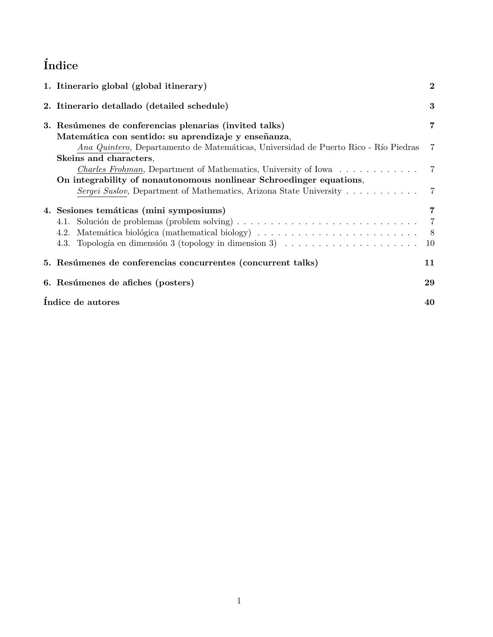# $\operatorname{\acute{t}ndice}$

| 1. Itinerario global (global itinerary)                                                             | $\bf{2}$       |
|-----------------------------------------------------------------------------------------------------|----------------|
| 2. Itinerario detallado (detailed schedule)                                                         | 3              |
| 3. Resúmenes de conferencias plenarias (invited talks)                                              | 7              |
| Matemática con sentido: su aprendizaje y enseñanza,                                                 |                |
| Ana Quintero, Departamento de Matemáticas, Universidad de Puerto Rico - Río Piedras                 | 7              |
| Skeins and characters,                                                                              |                |
| <i>Charles Frohman</i> , Department of Mathematics, University of Iowa                              | $\overline{7}$ |
| On integrability of nonautonomous nonlinear Schroedinger equations,                                 |                |
| <i>Sergei Suslov</i> , Department of Mathematics, Arizona State University 7                        |                |
| 4. Sesiones temáticas (mini symposiums)                                                             | 7              |
|                                                                                                     | $\overline{7}$ |
|                                                                                                     | 8              |
| 4.3. Topología en dimensión 3 (topology in dimension 3) $\ldots \ldots \ldots \ldots \ldots \ldots$ | 10             |
| 5. Resúmenes de conferencias concurrentes (concurrent talks)                                        | 11             |
| 6. Resúmenes de afiches (posters)                                                                   | 29             |
| Indice de autores                                                                                   | 40             |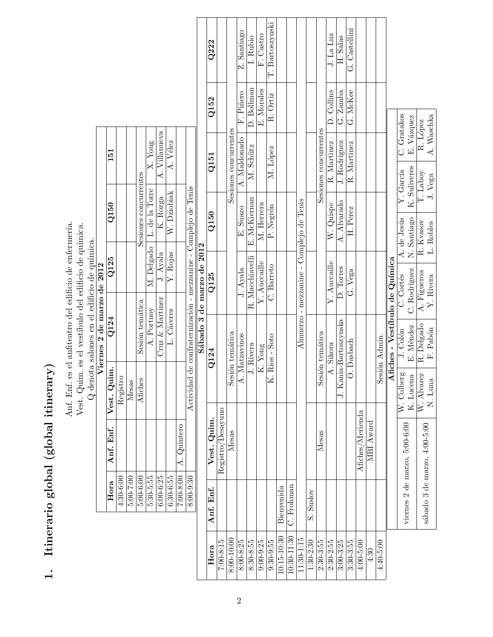| I<br>トランクショナ     |
|------------------|
| מוח              |
|                  |
| tinerario global |
| ١                |

Anf. Enf. es el anfiteatro del edificio de enfermería. Vest. Quim. es el vestíbulo del edificio de química. Anf. Enf. es el anfiteatro del edificio de enfermería. Vest. Quim. es el vestíbulo del edificio de química.  ${\bf Q}$  denota salones en el edificio de química.  $\mathrm Q$  denota salones en el edificio de química.

|                            | 151                     |             |           |                       | X. Yong                     | A. Villanueva      | A. Vélez    |                           |                                                                |                                                  |
|----------------------------|-------------------------|-------------|-----------|-----------------------|-----------------------------|--------------------|-------------|---------------------------|----------------------------------------------------------------|--------------------------------------------------|
|                            | Q150                    |             |           | Sesiones concurrentes | M. Delgado   L. de la Torre | K. Rozga           | W. Dziobiak |                           |                                                                |                                                  |
|                            | Q125                    |             |           |                       |                             | J. Ayala           | Y. Rojas    |                           |                                                                | $\frac{1}{2}$                                    |
| Viernes 2 de marzo de 2012 | Q124                    |             |           | Sesión temática       | A. Portnoy                  | $Cruz \& Martinez$ | L. Cáceres  |                           | Actividad de confraternización - mezzanine - Complejo de Tenis | $\ddot{\cdot}$ , $\ddot{\cdot}$ , $\ddot{\cdot}$ |
|                            | Anf. Enf.   Vest. Quim. | Registro    | Mesas     | Afiches               |                             |                    |             |                           |                                                                |                                                  |
|                            |                         |             |           |                       |                             |                    |             | 7:00-8:00   $A.$ Quintero |                                                                |                                                  |
|                            | Hora                    | $4:30-6:00$ | 5:00-7:00 | $5.00 - 6.00$         | 5:30-5:55                   | $6:00 - 6:25$      | $6:30-6:55$ |                           | $8:00-9:30$                                                    |                                                  |

|                 |            |                               |                         |                       | Sábado 3 de marzo de 2012                |              |                       |                  |            |                 |
|-----------------|------------|-------------------------------|-------------------------|-----------------------|------------------------------------------|--------------|-----------------------|------------------|------------|-----------------|
| Hora            | Anf. Enf.  | Vest. Quim.                   |                         | $\rm Q124$            | Q125                                     | Q150         |                       | Q <sub>151</sub> | Q152       | Q222            |
| $7:00-8:15$     |            | Registro/Desayuno             |                         |                       |                                          |              |                       |                  |            |                 |
| 8:00-10:00      |            | Mesas                         |                         | Sesión temática       |                                          |              | Sesiones concurrentes |                  |            |                 |
| $8:00 - 8:25$   |            |                               | ⋖                       | . Matzavinos          | J. Ayala                                 | E. Suazo     |                       | A. Maldonado     | F. Piñero  | Z. Santiago     |
| $8:30 - 8:55$   |            |                               |                         | J. Rivera             | R. Macchiavelli                          | E. McKiernan |                       | M. Schütz        | D. Bollman | I. Rubio        |
| $9:00 - 9:25$   |            |                               |                         | K. Yong               | Y. Auccaille                             | M. Herrera   |                       |                  | E. Morales | F. Castro       |
| $9:30 - 9:55$   |            |                               | ×                       | Rios - Soto           | C. Barreto                               | P. Negrón    |                       | M. López         | R. Ortiz   | T. Bartoszynski |
| $10:15 - 10:30$ | Bienvenida |                               |                         |                       |                                          |              |                       |                  |            |                 |
| $10:30 - 11:30$ | C. Frohman |                               |                         |                       |                                          |              |                       |                  |            |                 |
| 11:30-1:15      |            |                               |                         |                       | Almuerzo - mezzanine - Complejo de Tenis |              |                       |                  |            |                 |
| $1:30-2:30$     | S. Suslov  |                               |                         |                       |                                          |              |                       |                  |            |                 |
| $2:30 - 3:55$   |            | Mesas                         |                         | Sesión temática       |                                          |              | Sesiones concurrentes |                  |            |                 |
| $2:30 - 2:55$   |            |                               |                         | A. Sikora             | Y. Auccaille                             | W. Quispe    |                       | R. Martinez      | D. Collins | J. La Luz       |
| $3:00 - 3:25$   |            |                               |                         | J. Kania-Bartoszynska | D. Torres                                | A. Alvarado  |                       | J. Rodriguez     | G. Zamba   | H. Salas        |
| $3:30 - 3:55$   |            |                               |                         | O. Dasbach            | G. Vega                                  | H. Perez     |                       | R. Martinez      | G. McKee   | G. Castellini   |
| $4:00-5:00$     |            | Afiches/Merienda              |                         |                       |                                          |              |                       |                  |            |                 |
| 4:30            |            | MBI Award                     |                         |                       |                                          |              |                       |                  |            |                 |
| $4:40 - 5:00$   |            |                               | တိ                      | ssión Admin.          |                                          |              |                       |                  |            |                 |
|                 |            |                               |                         |                       | Afiches - Vestíbulo de Química           |              |                       |                  |            |                 |
|                 |            |                               | W. Colberg<br>K. Lucena | J. Colón              | C. Cortés                                | A. de Jesús  | Y. García             | C. Gratakos      |            |                 |
|                 |            | viernes 2 de marzo, 5:00-6:00 |                         | E. Méndez             | C. Rodríguez                             | N. Santiago  | K. Suliveres          | E. Vázquez       |            |                 |
|                 |            | sábado 3 de marzo, 4:00-5:00  | W. Alvarez              | R. Delgado            | A. Figueroa                              | R. Kvasov    | T. Laboy              | R. López         |            |                 |
|                 |            |                               | N. Luna                 | F. Pabón              | Y. Rivera                                | L. Robles    | J. Vega               | A. Waschka       |            |                 |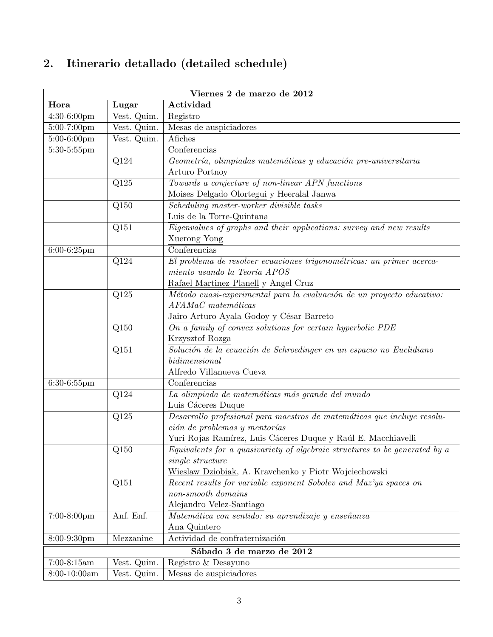# 2. Itinerario detallado (detailed schedule)

| Viernes 2 de marzo de 2012 |                   |                                                                             |  |  |  |
|----------------------------|-------------------|-----------------------------------------------------------------------------|--|--|--|
| Hora                       | Lugar             | Actividad                                                                   |  |  |  |
| 4:30-6:00pm                | Vest. Quim.       | Registro                                                                    |  |  |  |
| 5:00-7:00pm                | Vest. Quim.       | Mesas de auspiciadores                                                      |  |  |  |
| 5:00-6:00pm                | Vest. Quim.       | Afiches                                                                     |  |  |  |
| 5:30-5:55pm                |                   | Conferencias                                                                |  |  |  |
|                            | Q124              | Geometría, olimpiadas matemáticas y educación pre-universitaria             |  |  |  |
|                            |                   | Arturo Portnoy                                                              |  |  |  |
|                            | Q125              | Towards a conjecture of non-linear APN functions                            |  |  |  |
|                            |                   | Moises Delgado Olortegui y Heeralal Janwa                                   |  |  |  |
|                            | Q150              | Scheduling master-worker divisible tasks                                    |  |  |  |
|                            |                   | Luis de la Torre-Quintana                                                   |  |  |  |
|                            | Q151              | Eigenvalues of graphs and their applications: survey and new results        |  |  |  |
|                            |                   | Xuerong Yong                                                                |  |  |  |
| $6:00-6:25$ pm             |                   | Conferencias                                                                |  |  |  |
|                            | Q124              | El problema de resolver ecuaciones trigonométricas: un primer acerca-       |  |  |  |
|                            |                   | miento usando la Teoría APOS                                                |  |  |  |
|                            |                   | Rafael Martinez Planell y Angel Cruz                                        |  |  |  |
|                            | Q125              | Método cuasi-experimental para la evaluación de un proyecto educativo:      |  |  |  |
|                            |                   | AFAMaC matemáticas                                                          |  |  |  |
|                            |                   | Jairo Arturo Ayala Godoy y César Barreto                                    |  |  |  |
|                            | Q150              | On a family of convex solutions for certain hyperbolic PDE                  |  |  |  |
|                            |                   | Krzysztof Rozga                                                             |  |  |  |
|                            | Q151              | Solución de la ecuación de Schroedinger en un espacio no Euclidiano         |  |  |  |
|                            |                   | bidimensional                                                               |  |  |  |
|                            |                   | Alfredo Villanueva Cueva                                                    |  |  |  |
| $6:30-6:55$ pm             |                   | Conferencias                                                                |  |  |  |
|                            | $\overline{Q124}$ | La olimpiada de matemáticas más grande del mundo                            |  |  |  |
|                            |                   | Luis Cáceres Duque                                                          |  |  |  |
|                            | Q125              | Desarrollo profesional para maestros de matemáticas que incluye resolu-     |  |  |  |
|                            |                   | ción de problemas y mentorías                                               |  |  |  |
|                            |                   | Yuri Rojas Ramírez, Luis Cáceres Duque y Raúl E. Macchiavelli               |  |  |  |
|                            | Q150              | Equivalents for a quasivariety of algebraic structures to be generated by a |  |  |  |
|                            |                   | single structure                                                            |  |  |  |
|                            |                   | Wieslaw Dziobiak, A. Kravchenko y Piotr Wojciechowski                       |  |  |  |
|                            | Q151              | Recent results for variable exponent Sobolev and Maz'ya spaces on           |  |  |  |
|                            |                   | non-smooth domains                                                          |  |  |  |
|                            |                   | Alejandro Velez-Santiago                                                    |  |  |  |
| 7:00-8:00pm                | Anf. Enf.         | Matemática con sentido: su aprendizaje y enseñanza                          |  |  |  |
|                            |                   | Ana Quintero                                                                |  |  |  |
| 8:00-9:30pm                | Mezzanine         | Actividad de confraternización                                              |  |  |  |
|                            |                   | Sábado 3 de marzo de 2012                                                   |  |  |  |
| $7:00-8:15am$              | Vest. Quim.       | Registro & Desayuno                                                         |  |  |  |
| $8:00-10:00am$             | Vest. Quim.       | Mesas de auspiciadores                                                      |  |  |  |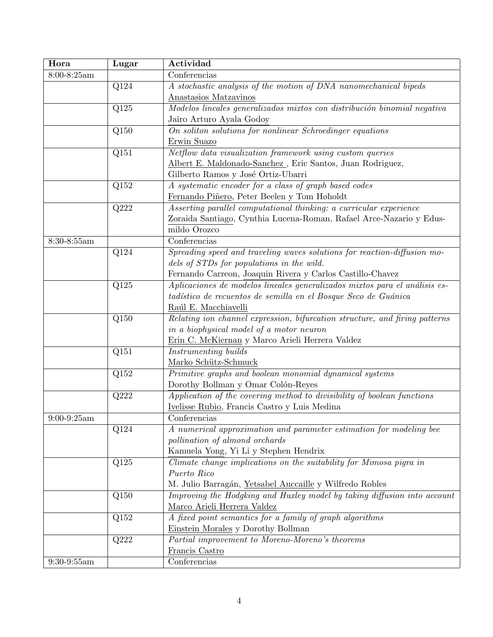| Hora          | Lugar | Actividad                                                                   |
|---------------|-------|-----------------------------------------------------------------------------|
| $8:00-8:25am$ |       | Conferencias                                                                |
|               | Q124  | A stochastic analysis of the motion of DNA nanomechanical bipeds            |
|               |       | Anastasios Matzavinos                                                       |
|               | Q125  | Modelos lineales generalizados mixtos con distribución binomial negativa    |
|               |       | Jairo Arturo Ayala Godoy                                                    |
|               | Q150  | On soliton solutions for nonlinear Schroedinger equations                   |
|               |       | Erwin Suazo                                                                 |
|               | Q151  | Netflow data visualization framework using custom queries                   |
|               |       | Albert E. Maldonado-Sanchez, Eric Santos, Juan Rodriguez,                   |
|               |       | Gilberto Ramos y José Ortiz-Ubarri                                          |
|               | Q152  | A systematic encoder for a class of graph based codes                       |
|               |       | Fernando Piñero, Peter Beelen y Tom Høholdt                                 |
|               | Q222  | Asserting parallel computational thinking: a curricular experience          |
|               |       | Zoraida Santiago, Cynthia Lucena-Roman, Rafael Arce-Nazario y Edus-         |
|               |       | mildo Orozco                                                                |
| 8:30-8:55am   |       | Conferencias                                                                |
|               | Q124  | Spreading speed and traveling waves solutions for reaction-diffusion mo-    |
|               |       | dels of STDs for populations in the wild.                                   |
|               |       | Fernando Carreon, Joaquin Rivera y Carlos Castillo-Chavez                   |
|               | Q125  | Aplicaciones de modelos lineales generalizados mixtos para el análisis es-  |
|               |       | tadístico de recuentos de semilla en el Bosque Seco de Guánica              |
|               |       | Raúl E. Macchiavelli                                                        |
|               | Q150  | Relating ion channel expression, bifurcation structure, and firing patterns |
|               |       | in a biophysical model of a motor neuron                                    |
|               |       | Erin C. McKiernan y Marco Arieli Herrera Valdez                             |
|               | Q151  | Instrumenting builds                                                        |
|               |       | Marko Schütz-Schmuck                                                        |
|               | Q152  | Primitive graphs and boolean monomial dynamical systems                     |
|               |       | Dorothy Bollman y Omar Colón-Reyes                                          |
|               | Q222  | Application of the covering method to divisibility of boolean functions     |
|               |       | Ivelisse Rubio, Francis Castro y Luis Medina                                |
| $9:00-9:25am$ |       | Conferencias                                                                |
|               | Q124  | A numerical approximation and parameter estimation for modeling bee         |
|               |       | pollination of almond orchards                                              |
|               |       | Kamuela Yong, Yi Li y Stephen Hendrix                                       |
|               | Q125  | Climate change implications on the suitability for Mimosa pigra in          |
|               |       | Puerto Rico                                                                 |
|               |       | M. Julio Barragán, Yetsabel Auccaille y Wilfredo Robles                     |
|               | Q150  | Improving the Hodgking and Huxley model by taking diffusion into account    |
|               |       | Marco Arieli Herrera Valdez                                                 |
|               | Q152  | A fixed point semantics for a family of graph algorithms                    |
|               |       | Einstein Morales y Dorothy Bollman                                          |
|               | Q222  | Partial improvement to Moreno-Moreno's theorems                             |
|               |       | Francis Castro                                                              |
| $9:30-9:55am$ |       | Conferencias                                                                |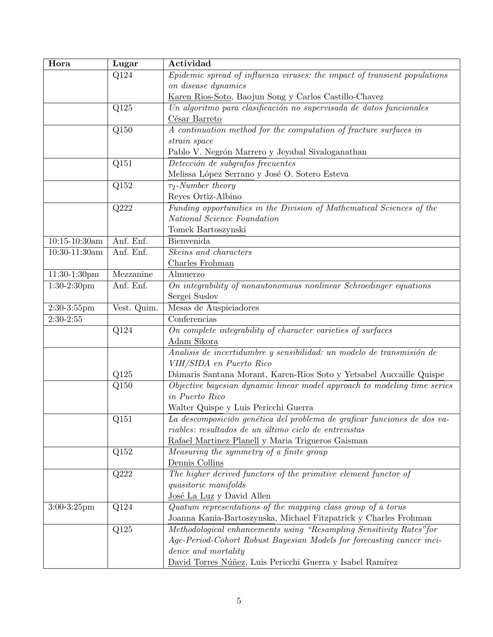| Hora              | Lugar       | Actividad                                                                 |
|-------------------|-------------|---------------------------------------------------------------------------|
|                   | Q124        | Epidemic spread of influenza viruses: the impact of transient populations |
|                   |             | on disease dynamics                                                       |
|                   |             | Karen Rios-Soto, Baojun Song y Carlos Castillo-Chavez                     |
|                   | Q125        | Un algoritmo para clasificación no supervisada de datos funcionales       |
|                   |             | César Barreto                                                             |
|                   | Q150        | A continuation method for the computation of fracture surfaces in         |
|                   |             | strain space                                                              |
|                   |             | Pablo V. Negrón Marrero y Jeyabal Sivaloganathan                          |
|                   | Q151        | Detección de subgrafos frecuentes                                         |
|                   |             | Melissa López Serrano y José O. Sotero Esteva                             |
|                   | Q152        | $\tau_2$ -Number theory                                                   |
|                   |             | Reyes Ortiz-Albino                                                        |
|                   | Q222        | Funding opportunities in the Division of Mathematical Sciences of the     |
|                   |             | National Science Foundation                                               |
|                   |             | Tomek Bartoszynski                                                        |
| $10:15 - 10:30am$ | Anf. Enf.   | Bienvenida                                                                |
| $10:30-11:30am$   | Anf. Enf.   | Skeins and characters                                                     |
|                   |             | Charles Frohman                                                           |
| $11:30-1:30$ pm   | Mezzanine   | Almuerzo                                                                  |
| $1:30-2:30$ pm    | Anf. Enf.   | On integrability of nonautonomous nonlinear Schroedinger equations        |
|                   |             | Sergei Suslov                                                             |
| $2:30-3:55$ pm    | Vest. Quim. | Mesas de Auspiciadores                                                    |
| $2:30-2:55$       |             | Conferencias                                                              |
|                   | Q124        | On complete integrability of character varieties of surfaces              |
|                   |             | Adam Sikora                                                               |
|                   |             | Analisis de incertidumbre y sensibilidad: un modelo de transmisión de     |
|                   |             | VIH/SIDA en Puerto Rico                                                   |
|                   | Q125        | Dámaris Santana Morant, Karen-Rios Soto y Yetsabel Auccaille Quispe       |
|                   | Q150        | Objective bayesian dynamic linear model approach to modeling time series  |
|                   |             | in Puerto Rico                                                            |
|                   |             | Walter Quispe y Luis Pericchi Guerra                                      |
|                   | Q151        | La descomposición genética del problema de graficar funciones de dos va-  |
|                   |             | riables: resultados de un último ciclo de entrevistas                     |
|                   |             | Rafael Martinez Planell y Maria Trigueros Gaisman                         |
|                   | Q152        | Measuring the symmetry of a finite group                                  |
|                   |             | Dennis Collins                                                            |
|                   | Q222        | The higher derived functors of the primitive element functor of           |
|                   |             | <i>quasitoric manifolds</i>                                               |
|                   |             | José La Luz y David Allen                                                 |
| $3:00-3:25$ pm    | Q124        | Quatum representations of the mapping class group of a torus              |
|                   |             | Joanna Kania-Bartoszynska, Michael Fitzpatrick y Charles Frohman          |
|                   | Q125        | Methodological enhancements using "Resampling Sensitivity Rates" for      |
|                   |             | Age-Period-Cohort Robust Bayesian Models for forecasting cancer inci-     |
|                   |             | dence and mortality                                                       |
|                   |             | David Torres Núñez, Luis Pericchi Guerra y Isabel Ramírez                 |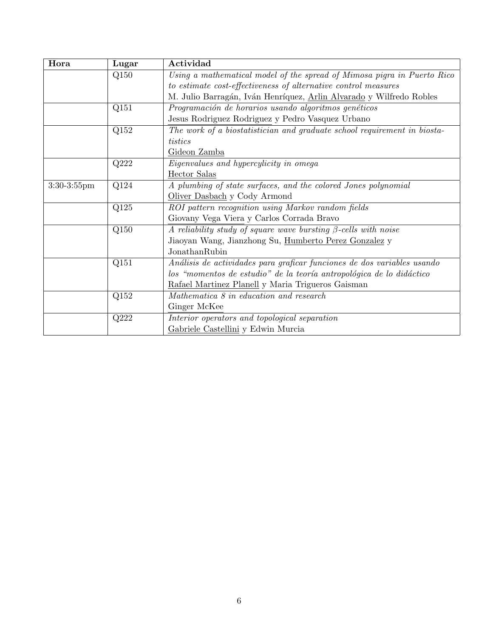| Hora           | Lugar | Actividad                                                                |
|----------------|-------|--------------------------------------------------------------------------|
|                | Q150  | Using a mathematical model of the spread of Mimosa pigra in Puerto Rico  |
|                |       | to estimate cost-effectiveness of alternative control measures           |
|                |       | M. Julio Barragán, Iván Henríquez, Arlin Alvarado y Wilfredo Robles      |
|                | Q151  | Programación de horarios usando algoritmos genéticos                     |
|                |       | Jesus Rodriguez Rodriguez y Pedro Vasquez Urbano                         |
|                | Q152  | The work of a biostatistician and graduate school requirement in biosta- |
|                |       | tistics                                                                  |
|                |       | Gideon Zamba                                                             |
|                | Q222  | Eigenvalues and hypercylicity in omega                                   |
|                |       | Hector Salas                                                             |
| $3:30-3:55$ pm | Q124  | A plumbing of state surfaces, and the colored Jones polynomial           |
|                |       | Oliver Dasbach y Cody Armond                                             |
|                | Q125  | ROI pattern recognition using Markov random fields                       |
|                |       | Giovany Vega Viera y Carlos Corrada Bravo                                |
|                | Q150  | A reliability study of square wave bursting $\beta$ -cells with noise    |
|                |       | Jiaoyan Wang, Jianzhong Su, Humberto Perez Gonzalez y                    |
|                |       | JonathanRubin                                                            |
|                | Q151  | Análisis de actividades para graficar funciones de dos variables usando  |
|                |       | los "momentos de estudio" de la teoría antropológica de lo didáctico     |
|                |       | Rafael Martinez Planell y Maria Trigueros Gaisman                        |
|                | Q152  | Mathematica 8 in education and research                                  |
|                |       | Ginger McKee                                                             |
|                | Q222  | Interior operators and topological separation                            |
|                |       | Gabriele Castellini y Edwin Murcia                                       |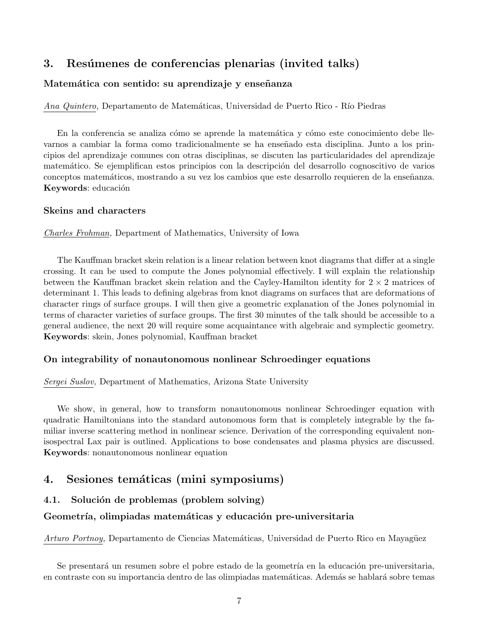# 3. Resúmenes de conferencias plenarias (invited talks)

## Matemática con sentido: su aprendizaje y enseñanza

Ana Quintero, Departamento de Matemáticas, Universidad de Puerto Rico - Río Piedras

En la conferencia se analiza cómo se aprende la matemática y cómo este conocimiento debe llevarnos a cambiar la forma como tradicionalmente se ha enseñado esta disciplina. Junto a los principios del aprendizaje comunes con otras disciplinas, se discuten las particularidades del aprendizaje matemático. Se ejemplifican estos principios con la descripción del desarrollo cognoscitivo de varios conceptos matemáticos, mostrando a su vez los cambios que este desarrollo requieren de la enseñanza. Keywords: educación

#### Skeins and characters

Charles Frohman, Department of Mathematics, University of Iowa

The Kauffman bracket skein relation is a linear relation between knot diagrams that differ at a single crossing. It can be used to compute the Jones polynomial effectively. I will explain the relationship between the Kauffman bracket skein relation and the Cayley-Hamilton identity for  $2 \times 2$  matrices of determinant 1. This leads to defining algebras from knot diagrams on surfaces that are deformations of character rings of surface groups. I will then give a geometric explanation of the Jones polynomial in terms of character varieties of surface groups. The first 30 minutes of the talk should be accessible to a general audience, the next 20 will require some acquaintance with algebraic and symplectic geometry. Keywords: skein, Jones polynomial, Kauffman bracket

## On integrability of nonautonomous nonlinear Schroedinger equations

Sergei Suslov, Department of Mathematics, Arizona State University

We show, in general, how to transform nonautonomous nonlinear Schroedinger equation with quadratic Hamiltonians into the standard autonomous form that is completely integrable by the familiar inverse scattering method in nonlinear science. Derivation of the corresponding equivalent nonisospectral Lax pair is outlined. Applications to bose condensates and plasma physics are discussed. Keywords: nonautonomous nonlinear equation

## 4. Sesiones temáticas (mini symposiums)

## 4.1. Solución de problemas (problem solving)

## Geometría, olimpiadas matemáticas y educación pre-universitaria

Arturo Portnoy, Departamento de Ciencias Matemáticas, Universidad de Puerto Rico en Mayagüez

Se presentará un resumen sobre el pobre estado de la geometría en la educación pre-universitaria, en contraste con su importancia dentro de las olimpiadas matemáticas. Además se hablará sobre temas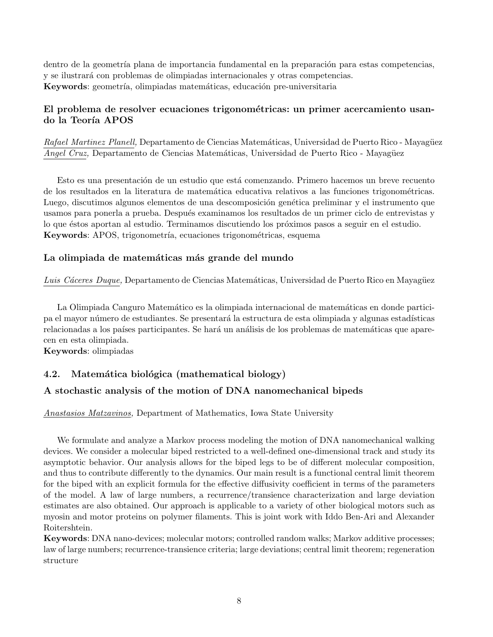dentro de la geometría plana de importancia fundamental en la preparación para estas competencias, y se ilustrar´a con problemas de olimpiadas internacionales y otras competencias. Keywords: geometría, olimpiadas matemáticas, educación pre-universitaria

## El problema de resolver ecuaciones trigonométricas: un primer acercamiento usando la Teoría APOS

Rafael Martinez Planell, Departamento de Ciencias Matemáticas, Universidad de Puerto Rico - Mayagüez Angel Cruz, Departamento de Ciencias Matemáticas, Universidad de Puerto Rico - Mayagüez

Esto es una presentación de un estudio que está comenzando. Primero hacemos un breve recuento de los resultados en la literatura de matemática educativa relativos a las funciones trigonométricas. Luego, discutimos algunos elementos de una descomposición genética preliminar y el instrumento que usamos para ponerla a prueba. Después examinamos los resultados de un primer ciclo de entrevistas y lo que éstos aportan al estudio. Terminamos discutiendo los próximos pasos a seguir en el estudio. Keywords: APOS, trigonometría, ecuaciones trigonométricas, esquema

#### La olimpiada de matemáticas más grande del mundo

Luis Cáceres Duque, Departamento de Ciencias Matemáticas, Universidad de Puerto Rico en Mayagüez

La Olimpiada Canguro Matemático es la olimpiada internacional de matemáticas en donde participa el mayor número de estudiantes. Se presentará la estructura de esta olimpiada y algunas estadísticas relacionadas a los países participantes. Se hará un análisis de los problemas de matemáticas que aparecen en esta olimpiada.

Keywords: olimpiadas

#### 4.2. Matemática biológica (mathematical biology)

#### A stochastic analysis of the motion of DNA nanomechanical bipeds

Anastasios Matzavinos, Department of Mathematics, Iowa State University

We formulate and analyze a Markov process modeling the motion of DNA nanomechanical walking devices. We consider a molecular biped restricted to a well-defined one-dimensional track and study its asymptotic behavior. Our analysis allows for the biped legs to be of different molecular composition, and thus to contribute differently to the dynamics. Our main result is a functional central limit theorem for the biped with an explicit formula for the effective diffusivity coefficient in terms of the parameters of the model. A law of large numbers, a recurrence/transience characterization and large deviation estimates are also obtained. Our approach is applicable to a variety of other biological motors such as myosin and motor proteins on polymer filaments. This is joint work with Iddo Ben-Ari and Alexander Roitershtein.

Keywords: DNA nano-devices; molecular motors; controlled random walks; Markov additive processes; law of large numbers; recurrence-transience criteria; large deviations; central limit theorem; regeneration structure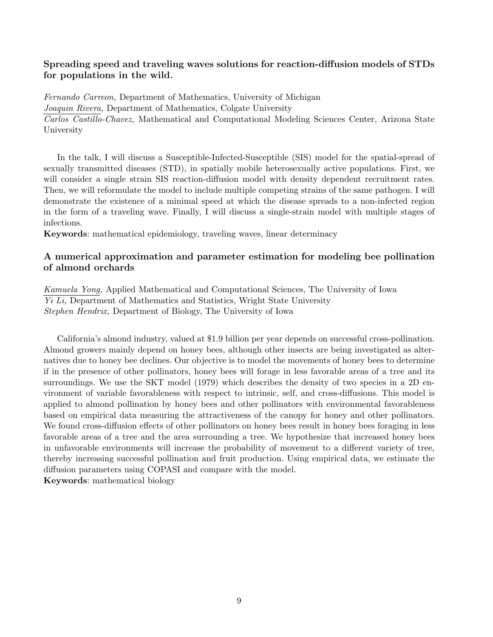## Spreading speed and traveling waves solutions for reaction-diffusion models of STDs for populations in the wild.

Fernando Carreon, Department of Mathematics, University of Michigan Joaquin Rivera, Department of Mathematics, Colgate University Carlos Castillo-Chavez, Mathematical and Computational Modeling Sciences Center, Arizona State University

In the talk, I will discuss a Susceptible-Infected-Susceptible (SIS) model for the spatial-spread of sexually transmitted diseases (STD), in spatially mobile heterosexually active populations. First, we will consider a single strain SIS reaction-diffusion model with density dependent recruitment rates. Then, we will reformulate the model to include multiple competing strains of the same pathogen. I will demonstrate the existence of a minimal speed at which the disease spreads to a non-infected region in the form of a traveling wave. Finally, I will discuss a single-strain model with multiple stages of infections.

Keywords: mathematical epidemiology, traveling waves, linear determinacy

## A numerical approximation and parameter estimation for modeling bee pollination of almond orchards

Kamuela Yong, Applied Mathematical and Computational Sciences, The University of Iowa Yi Li, Department of Mathematics and Statistics, Wright State University Stephen Hendrix, Department of Biology, The University of Iowa

California's almond industry, valued at \$1.9 billion per year depends on successful cross-pollination. Almond growers mainly depend on honey bees, although other insects are being investigated as alternatives due to honey bee declines. Our objective is to model the movements of honey bees to determine if in the presence of other pollinators, honey bees will forage in less favorable areas of a tree and its surroundings. We use the SKT model (1979) which describes the density of two species in a 2D environment of variable favorableness with respect to intrinsic, self, and cross-diffusions. This model is applied to almond pollination by honey bees and other pollinators with environmental favorableness based on empirical data measuring the attractiveness of the canopy for honey and other pollinators. We found cross-diffusion effects of other pollinators on honey bees result in honey bees foraging in less favorable areas of a tree and the area surrounding a tree. We hypothesize that increased honey bees in unfavorable environments will increase the probability of movement to a different variety of tree, thereby increasing successful pollination and fruit production. Using empirical data, we estimate the diffusion parameters using COPASI and compare with the model. Keywords: mathematical biology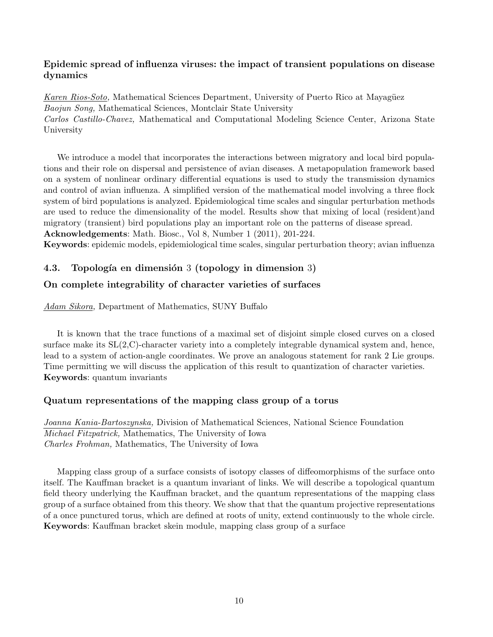## Epidemic spread of influenza viruses: the impact of transient populations on disease dynamics

Karen Rios-Soto, Mathematical Sciences Department, University of Puerto Rico at Mayagüez Baojun Song, Mathematical Sciences, Montclair State University Carlos Castillo-Chavez, Mathematical and Computational Modeling Science Center, Arizona State University

We introduce a model that incorporates the interactions between migratory and local bird populations and their role on dispersal and persistence of avian diseases. A metapopulation framework based on a system of nonlinear ordinary differential equations is used to study the transmission dynamics and control of avian influenza. A simplified version of the mathematical model involving a three flock system of bird populations is analyzed. Epidemiological time scales and singular perturbation methods are used to reduce the dimensionality of the model. Results show that mixing of local (resident)and migratory (transient) bird populations play an important role on the patterns of disease spread. Acknowledgements: Math. Biosc., Vol 8, Number 1 (2011), 201-224.

Keywords: epidemic models, epidemiological time scales, singular perturbation theory; avian influenza

## 4.3. Topología en dimensión 3 (topology in dimension 3)

## On complete integrability of character varieties of surfaces

Adam Sikora, Department of Mathematics, SUNY Buffalo

It is known that the trace functions of a maximal set of disjoint simple closed curves on a closed surface make its  $SL(2, \mathbb{C})$ -character variety into a completely integrable dynamical system and, hence, lead to a system of action-angle coordinates. We prove an analogous statement for rank 2 Lie groups. Time permitting we will discuss the application of this result to quantization of character varieties. Keywords: quantum invariants

## Quatum representations of the mapping class group of a torus

Joanna Kania-Bartoszynska, Division of Mathematical Sciences, National Science Foundation Michael Fitzpatrick, Mathematics, The University of Iowa Charles Frohman, Mathematics, The University of Iowa

Mapping class group of a surface consists of isotopy classes of diffeomorphisms of the surface onto itself. The Kauffman bracket is a quantum invariant of links. We will describe a topological quantum field theory underlying the Kauffman bracket, and the quantum representations of the mapping class group of a surface obtained from this theory. We show that that the quantum projective representations of a once punctured torus, which are defined at roots of unity, extend continuously to the whole circle. Keywords: Kauffman bracket skein module, mapping class group of a surface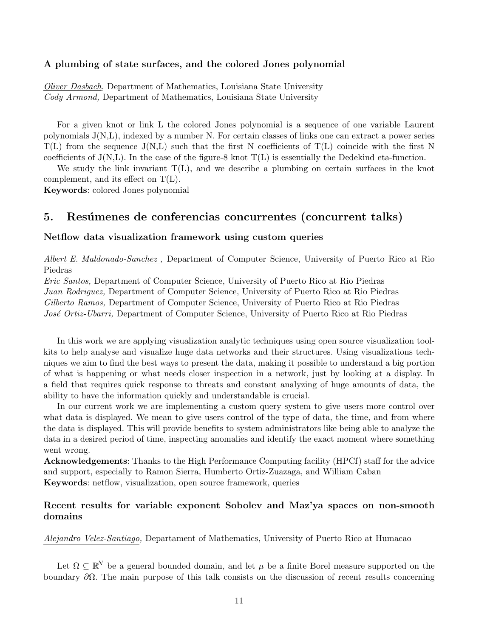#### A plumbing of state surfaces, and the colored Jones polynomial

Oliver Dasbach, Department of Mathematics, Louisiana State University Cody Armond, Department of Mathematics, Louisiana State University

For a given knot or link L the colored Jones polynomial is a sequence of one variable Laurent polynomials J(N,L), indexed by a number N. For certain classes of links one can extract a power series  $T(L)$  from the sequence  $J(N,L)$  such that the first N coefficients of  $T(L)$  coincide with the first N coefficients of  $J(N,L)$ . In the case of the figure-8 knot  $T(L)$  is essentially the Dedekind eta-function.

We study the link invariant  $T(L)$ , and we describe a plumbing on certain surfaces in the knot complement, and its effect on T(L).

Keywords: colored Jones polynomial

## 5. Resúmenes de conferencias concurrentes (concurrent talks)

#### Netflow data visualization framework using custom queries

Albert E. Maldonado-Sanchez , Department of Computer Science, University of Puerto Rico at Rio Piedras

Eric Santos, Department of Computer Science, University of Puerto Rico at Rio Piedras Juan Rodriguez, Department of Computer Science, University of Puerto Rico at Rio Piedras Gilberto Ramos, Department of Computer Science, University of Puerto Rico at Rio Piedras José Ortiz-Ubarri, Department of Computer Science, University of Puerto Rico at Rio Piedras

In this work we are applying visualization analytic techniques using open source visualization toolkits to help analyse and visualize huge data networks and their structures. Using visualizations techniques we aim to find the best ways to present the data, making it possible to understand a big portion of what is happening or what needs closer inspection in a network, just by looking at a display. In a field that requires quick response to threats and constant analyzing of huge amounts of data, the ability to have the information quickly and understandable is crucial.

In our current work we are implementing a custom query system to give users more control over what data is displayed. We mean to give users control of the type of data, the time, and from where the data is displayed. This will provide benefits to system administrators like being able to analyze the data in a desired period of time, inspecting anomalies and identify the exact moment where something went wrong.

Acknowledgements: Thanks to the High Performance Computing facility (HPCf) staff for the advice and support, especially to Ramon Sierra, Humberto Ortiz-Zuazaga, and William Caban Keywords: netflow, visualization, open source framework, queries

## Recent results for variable exponent Sobolev and Maz'ya spaces on non-smooth domains

Alejandro Velez-Santiago, Departament of Mathematics, University of Puerto Rico at Humacao

Let  $\Omega \subseteq \mathbb{R}^N$  be a general bounded domain, and let  $\mu$  be a finite Borel measure supported on the boundary  $\partial\Omega$ . The main purpose of this talk consists on the discussion of recent results concerning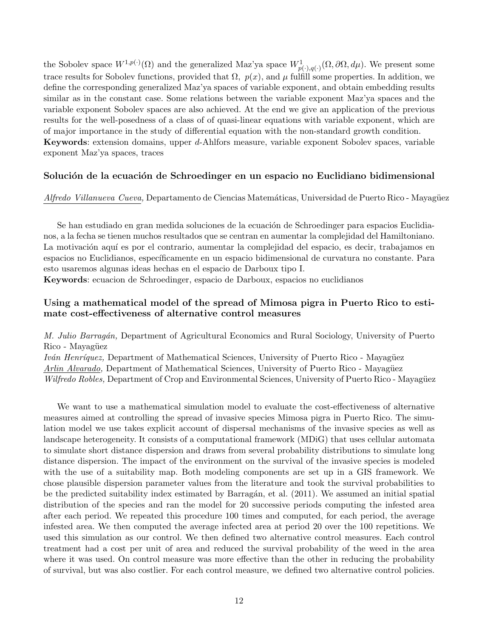the Sobolev space  $W^{1,p(\cdot)}(\Omega)$  and the generalized Maz'ya space  $W^1_{p(\cdot),q(\cdot)}(\Omega,\partial\Omega,d\mu)$ . We present some trace results for Sobolev functions, provided that  $\Omega$ ,  $p(x)$ , and  $\mu$  fulfill some properties. In addition, we define the corresponding generalized Maz'ya spaces of variable exponent, and obtain embedding results similar as in the constant case. Some relations between the variable exponent Maz'ya spaces and the variable exponent Sobolev spaces are also achieved. At the end we give an application of the previous results for the well-posedness of a class of of quasi-linear equations with variable exponent, which are of major importance in the study of differential equation with the non-standard growth condition. Keywords: extension domains, upper d-Ahlfors measure, variable exponent Sobolev spaces, variable exponent Maz'ya spaces, traces

#### Solución de la ecuación de Schroedinger en un espacio no Euclidiano bidimensional

Alfredo Villanueva Cueva, Departamento de Ciencias Matemáticas, Universidad de Puerto Rico - Mayagüez

Se han estudiado en gran medida soluciones de la ecuación de Schroedinger para espacios Euclidianos, a la fecha se tienen muchos resultados que se centran en aumentar la complejidad del Hamiltoniano. La motivación aquí es por el contrario, aumentar la complejidad del espacio, es decir, trabajamos en espacios no Euclidianos, específicamente en un espacio bidimensional de curvatura no constante. Para esto usaremos algunas ideas hechas en el espacio de Darboux tipo I.

Keywords: ecuacion de Schroedinger, espacio de Darboux, espacios no euclidianos

## Using a mathematical model of the spread of Mimosa pigra in Puerto Rico to estimate cost-effectiveness of alternative control measures

M. Julio Barragán, Department of Agricultural Economics and Rural Sociology, University of Puerto Rico - Mayagüez

Iván Henríquez, Department of Mathematical Sciences, University of Puerto Rico - Mayagüez Arlin Alvarado, Department of Mathematical Sciences, University of Puerto Rico - Mayagüez Wilfredo Robles, Department of Crop and Environmental Sciences, University of Puerto Rico - Mayagüez

We want to use a mathematical simulation model to evaluate the cost-effectiveness of alternative measures aimed at controlling the spread of invasive species Mimosa pigra in Puerto Rico. The simulation model we use takes explicit account of dispersal mechanisms of the invasive species as well as landscape heterogeneity. It consists of a computational framework (MDiG) that uses cellular automata to simulate short distance dispersion and draws from several probability distributions to simulate long distance dispersion. The impact of the environment on the survival of the invasive species is modeled with the use of a suitability map. Both modeling components are set up in a GIS framework. We chose plausible dispersion parameter values from the literature and took the survival probabilities to be the predicted suitability index estimated by Barragán, et al. (2011). We assumed an initial spatial distribution of the species and ran the model for 20 successive periods computing the infested area after each period. We repeated this procedure 100 times and computed, for each period, the average infested area. We then computed the average infected area at period 20 over the 100 repetitions. We used this simulation as our control. We then defined two alternative control measures. Each control treatment had a cost per unit of area and reduced the survival probability of the weed in the area where it was used. On control measure was more effective than the other in reducing the probability of survival, but was also costlier. For each control measure, we defined two alternative control policies.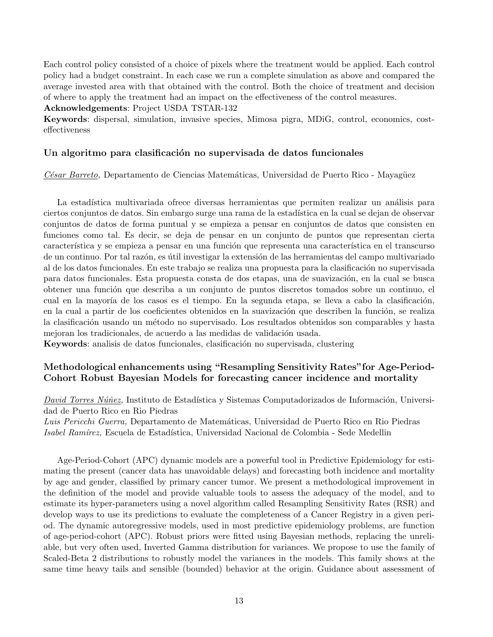Each control policy consisted of a choice of pixels where the treatment would be applied. Each control policy had a budget constraint. In each case we run a complete simulation as above and compared the average invested area with that obtained with the control. Both the choice of treatment and decision of where to apply the treatment had an impact on the effectiveness of the control measures.

Acknowledgements: Project USDA TSTAR-132

Keywords: dispersal, simulation, invasive species, Mimosa pigra, MDiG, control, economics, costeffectiveness

## Un algoritmo para clasificación no supervisada de datos funcionales

C'esar Barreto, Departamento de Ciencias Matemáticas, Universidad de Puerto Rico - Mayagüez

La estadística multivariada ofrece diversas herramientas que permiten realizar un análisis para ciertos conjuntos de datos. Sin embargo surge una rama de la estadística en la cual se dejan de observar conjuntos de datos de forma puntual y se empieza a pensar en conjuntos de datos que consisten en funciones como tal. Es decir, se deja de pensar en un conjunto de puntos que representan cierta característica y se empieza a pensar en una función que representa una característica en el transcurso de un continuo. Por tal razón, es útil investigar la extensión de las herramientas del campo multivariado al de los datos funcionales. En este trabajo se realiza una propuesta para la clasificación no supervisada para datos funcionales. Esta propuesta consta de dos etapas, una de suavización, en la cual se busca obtener una función que describa a un conjunto de puntos discretos tomados sobre un continuo, el cual en la mayoría de los casos es el tiempo. En la segunda etapa, se lleva a cabo la clasificación, en la cual a partir de los coeficientes obtenidos en la suavización que describen la función, se realiza la clasificación usando un método no supervisado. Los resultados obtenidos son comparables y hasta mejoran los tradicionales, de acuerdo a las medidas de validación usada.

Keywords: analisis de datos funcionales, clasificación no supervisada, clustering

## Methodological enhancements using "Resampling Sensitivity Rates"for Age-Period-Cohort Robust Bayesian Models for forecasting cancer incidence and mortality

David Torres Núñez, Instituto de Estadística y Sistemas Computadorizados de Información, Universidad de Puerto Rico en Rio Piedras

Luis Pericchi Guerra, Departamento de Matemáticas, Universidad de Puerto Rico en Rio Piedras Isabel Ramírez, Escuela de Estadística, Universidad Nacional de Colombia - Sede Medellin

Age-Period-Cohort (APC) dynamic models are a powerful tool in Predictive Epidemiology for estimating the present (cancer data has unavoidable delays) and forecasting both incidence and mortality by age and gender, classified by primary cancer tumor. We present a methodological improvement in the definition of the model and provide valuable tools to assess the adequacy of the model, and to estimate its hyper-parameters using a novel algorithm called Resampling Sensitivity Rates (RSR) and develop ways to use its predictions to evaluate the completeness of a Cancer Registry in a given period. The dynamic autoregressive models, used in most predictive epidemiology problems, are function of age-period-cohort (APC). Robust priors were fitted using Bayesian methods, replacing the unreliable, but very often used, Inverted Gamma distribution for variances. We propose to use the family of Scaled-Beta 2 distributions to robustly model the variances in the models. This family shows at the same time heavy tails and sensible (bounded) behavior at the origin. Guidance about assessment of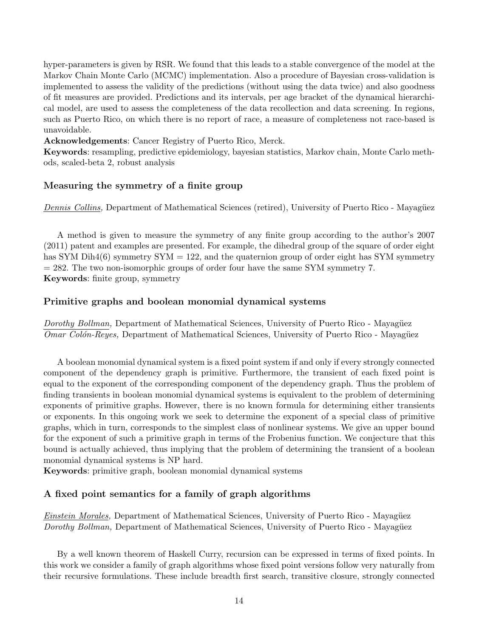hyper-parameters is given by RSR. We found that this leads to a stable convergence of the model at the Markov Chain Monte Carlo (MCMC) implementation. Also a procedure of Bayesian cross-validation is implemented to assess the validity of the predictions (without using the data twice) and also goodness of fit measures are provided. Predictions and its intervals, per age bracket of the dynamical hierarchical model, are used to assess the completeness of the data recollection and data screening. In regions, such as Puerto Rico, on which there is no report of race, a measure of completeness not race-based is unavoidable.

Acknowledgements: Cancer Registry of Puerto Rico, Merck.

Keywords: resampling, predictive epidemiology, bayesian statistics, Markov chain, Monte Carlo methods, scaled-beta 2, robust analysis

#### Measuring the symmetry of a finite group

Dennis Collins, Department of Mathematical Sciences (retired), University of Puerto Rico - Mayagüez

A method is given to measure the symmetry of any finite group according to the author's 2007 (2011) patent and examples are presented. For example, the dihedral group of the square of order eight has SYM Dih4(6) symmetry  $SYM = 122$ , and the quaternion group of order eight has SYM symmetry = 282. The two non-isomorphic groups of order four have the same SYM symmetry 7. Keywords: finite group, symmetry

#### Primitive graphs and boolean monomial dynamical systems

Dorothy Bollman, Department of Mathematical Sciences, University of Puerto Rico - Mayagüez Omar Colón-Reyes, Department of Mathematical Sciences, University of Puerto Rico - Mayagüez

A boolean monomial dynamical system is a fixed point system if and only if every strongly connected component of the dependency graph is primitive. Furthermore, the transient of each fixed point is equal to the exponent of the corresponding component of the dependency graph. Thus the problem of finding transients in boolean monomial dynamical systems is equivalent to the problem of determining exponents of primitive graphs. However, there is no known formula for determining either transients or exponents. In this ongoing work we seek to determine the exponent of a special class of primitive graphs, which in turn, corresponds to the simplest class of nonlinear systems. We give an upper bound for the exponent of such a primitive graph in terms of the Frobenius function. We conjecture that this bound is actually achieved, thus implying that the problem of determining the transient of a boolean monomial dynamical systems is NP hard.

Keywords: primitive graph, boolean monomial dynamical systems

#### A fixed point semantics for a family of graph algorithms

Einstein Morales, Department of Mathematical Sciences, University of Puerto Rico - Mayagüez Dorothy Bollman, Department of Mathematical Sciences, University of Puerto Rico - Mayagüez

By a well known theorem of Haskell Curry, recursion can be expressed in terms of fixed points. In this work we consider a family of graph algorithms whose fixed point versions follow very naturally from their recursive formulations. These include breadth first search, transitive closure, strongly connected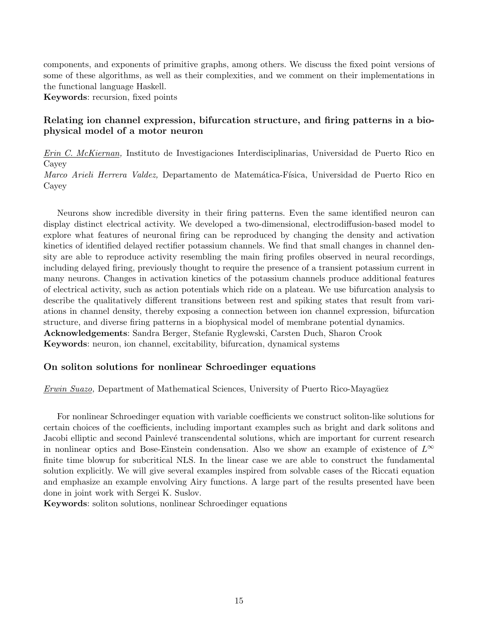components, and exponents of primitive graphs, among others. We discuss the fixed point versions of some of these algorithms, as well as their complexities, and we comment on their implementations in the functional language Haskell.

Keywords: recursion, fixed points

## Relating ion channel expression, bifurcation structure, and firing patterns in a biophysical model of a motor neuron

Erin C. McKiernan, Instituto de Investigaciones Interdisciplinarias, Universidad de Puerto Rico en Cayey

Marco Arieli Herrera Valdez, Departamento de Matemática-Física, Universidad de Puerto Rico en Cayey

Neurons show incredible diversity in their firing patterns. Even the same identified neuron can display distinct electrical activity. We developed a two-dimensional, electrodiffusion-based model to explore what features of neuronal firing can be reproduced by changing the density and activation kinetics of identified delayed rectifier potassium channels. We find that small changes in channel density are able to reproduce activity resembling the main firing profiles observed in neural recordings, including delayed firing, previously thought to require the presence of a transient potassium current in many neurons. Changes in activation kinetics of the potassium channels produce additional features of electrical activity, such as action potentials which ride on a plateau. We use bifurcation analysis to describe the qualitatively different transitions between rest and spiking states that result from variations in channel density, thereby exposing a connection between ion channel expression, bifurcation structure, and diverse firing patterns in a biophysical model of membrane potential dynamics. Acknowledgements: Sandra Berger, Stefanie Ryglewski, Carsten Duch, Sharon Crook Keywords: neuron, ion channel, excitability, bifurcation, dynamical systems

#### On soliton solutions for nonlinear Schroedinger equations

Erwin Suazo, Department of Mathematical Sciences, University of Puerto Rico-Mayagüez

For nonlinear Schroedinger equation with variable coefficients we construct soliton-like solutions for certain choices of the coefficients, including important examples such as bright and dark solitons and Jacobi elliptic and second Painlevé transcendental solutions, which are important for current research in nonlinear optics and Bose-Einstein condensation. Also we show an example of existence of  $L^{\infty}$ finite time blowup for subcritical NLS. In the linear case we are able to construct the fundamental solution explicitly. We will give several examples inspired from solvable cases of the Riccati equation and emphasize an example envolving Airy functions. A large part of the results presented have been done in joint work with Sergei K. Suslov.

Keywords: soliton solutions, nonlinear Schroedinger equations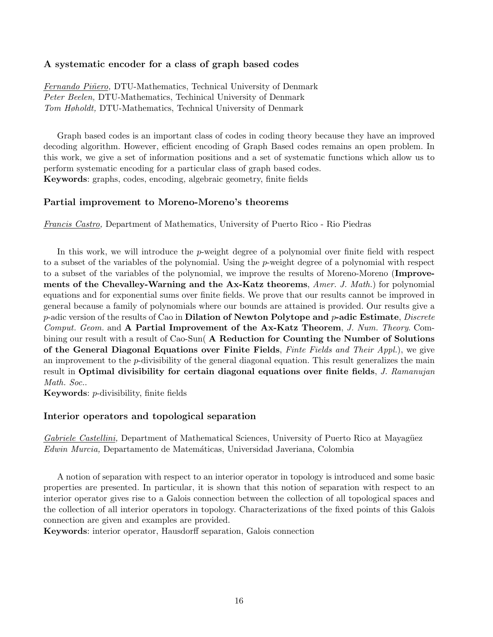## A systematic encoder for a class of graph based codes

Fernando Piñero, DTU-Mathematics, Technical University of Denmark Peter Beelen, DTU-Mathematics, Techinical University of Denmark Tom Høholdt, DTU-Mathematics, Technical University of Denmark

Graph based codes is an important class of codes in coding theory because they have an improved decoding algorithm. However, efficient encoding of Graph Based codes remains an open problem. In this work, we give a set of information positions and a set of systematic functions which allow us to perform systematic encoding for a particular class of graph based codes. Keywords: graphs, codes, encoding, algebraic geometry, finite fields

#### Partial improvement to Moreno-Moreno's theorems

Francis Castro, Department of Mathematics, University of Puerto Rico - Rio Piedras

In this work, we will introduce the p-weight degree of a polynomial over finite field with respect to a subset of the variables of the polynomial. Using the p-weight degree of a polynomial with respect to a subset of the variables of the polynomial, we improve the results of Moreno-Moreno (Improvements of the Chevalley-Warning and the Ax-Katz theorems, Amer. J. Math.) for polynomial equations and for exponential sums over finite fields. We prove that our results cannot be improved in general because a family of polynomials where our bounds are attained is provided. Our results give a  $p$ -adic version of the results of Cao in Dilation of Newton Polytope and  $p$ -adic Estimate, Discrete Comput. Geom. and A Partial Improvement of the Ax-Katz Theorem, J. Num. Theory. Combining our result with a result of Cao-Sun( A Reduction for Counting the Number of Solutions of the General Diagonal Equations over Finite Fields, Finte Fields and Their Appl.), we give an improvement to the  $p$ -divisibility of the general diagonal equation. This result generalizes the main result in Optimal divisibility for certain diagonal equations over finite fields, J. Ramanujan Math. Soc..

Keywords: p-divisibility, finite fields

#### Interior operators and topological separation

Gabriele Castellini, Department of Mathematical Sciences, University of Puerto Rico at Mayagüez Edwin Murcia, Departamento de Matemáticas, Universidad Javeriana, Colombia

A notion of separation with respect to an interior operator in topology is introduced and some basic properties are presented. In particular, it is shown that this notion of separation with respect to an interior operator gives rise to a Galois connection between the collection of all topological spaces and the collection of all interior operators in topology. Characterizations of the fixed points of this Galois connection are given and examples are provided.

Keywords: interior operator, Hausdorff separation, Galois connection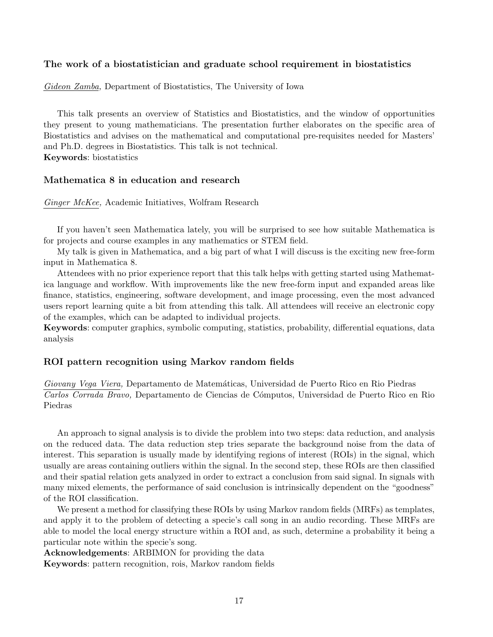## The work of a biostatistician and graduate school requirement in biostatistics

Gideon Zamba, Department of Biostatistics, The University of Iowa

This talk presents an overview of Statistics and Biostatistics, and the window of opportunities they present to young mathematicians. The presentation further elaborates on the specific area of Biostatistics and advises on the mathematical and computational pre-requisites needed for Masters' and Ph.D. degrees in Biostatistics. This talk is not technical. Keywords: biostatistics

#### Mathematica 8 in education and research

Ginger McKee, Academic Initiatives, Wolfram Research

If you haven't seen Mathematica lately, you will be surprised to see how suitable Mathematica is for projects and course examples in any mathematics or STEM field.

My talk is given in Mathematica, and a big part of what I will discuss is the exciting new free-form input in Mathematica 8.

Attendees with no prior experience report that this talk helps with getting started using Mathematica language and workflow. With improvements like the new free-form input and expanded areas like finance, statistics, engineering, software development, and image processing, even the most advanced users report learning quite a bit from attending this talk. All attendees will receive an electronic copy of the examples, which can be adapted to individual projects.

Keywords: computer graphics, symbolic computing, statistics, probability, differential equations, data analysis

#### ROI pattern recognition using Markov random fields

Giovany Vega Viera, Departamento de Matemáticas, Universidad de Puerto Rico en Rio Piedras Carlos Corrada Bravo, Departamento de Ciencias de Cómputos, Universidad de Puerto Rico en Rio Piedras

An approach to signal analysis is to divide the problem into two steps: data reduction, and analysis on the reduced data. The data reduction step tries separate the background noise from the data of interest. This separation is usually made by identifying regions of interest (ROIs) in the signal, which usually are areas containing outliers within the signal. In the second step, these ROIs are then classified and their spatial relation gets analyzed in order to extract a conclusion from said signal. In signals with many mixed elements, the performance of said conclusion is intrinsically dependent on the "goodness" of the ROI classification.

We present a method for classifying these ROIs by using Markov random fields (MRFs) as templates, and apply it to the problem of detecting a specie's call song in an audio recording. These MRFs are able to model the local energy structure within a ROI and, as such, determine a probability it being a particular note within the specie's song.

Acknowledgements: ARBIMON for providing the data

Keywords: pattern recognition, rois, Markov random fields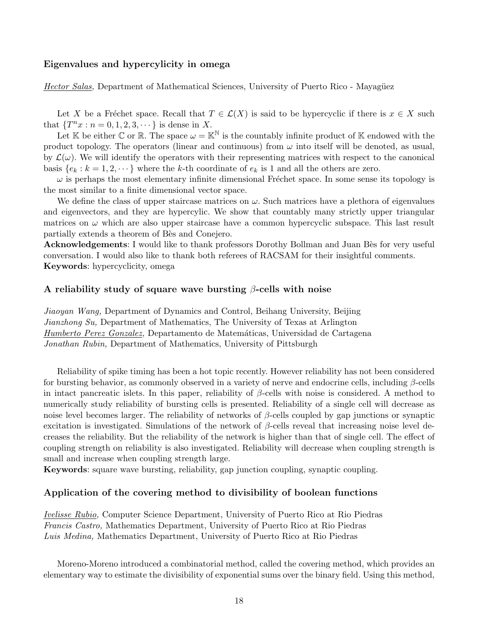#### Eigenvalues and hypercylicity in omega

Hector Salas, Department of Mathematical Sciences, University of Puerto Rico - Mayagüez

Let X be a Fréchet space. Recall that  $T \in \mathcal{L}(X)$  is said to be hypercyclic if there is  $x \in X$  such that  $\{T^n x : n = 0, 1, 2, 3, \dots \}$  is dense in X.

Let K be either C or R. The space  $\omega = \mathbb{K}^{\mathbb{N}}$  is the countably infinite product of K endowed with the product topology. The operators (linear and continuous) from  $\omega$  into itself will be denoted, as usual, by  $\mathcal{L}(\omega)$ . We will identify the operators with their representing matrices with respect to the canonical basis  $\{e_k : k = 1, 2, \dots\}$  where the k-th coordinate of  $e_k$  is 1 and all the others are zero.

 $\omega$  is perhaps the most elementary infinite dimensional Fréchet space. In some sense its topology is the most similar to a finite dimensional vector space.

We define the class of upper staircase matrices on  $\omega$ . Such matrices have a plethora of eigenvalues and eigenvectors, and they are hypercylic. We show that countably many strictly upper triangular matrices on  $\omega$  which are also upper staircase have a common hypercyclic subspace. This last result partially extends a theorem of Bès and Conejero.

Acknowledgements: I would like to thank professors Dorothy Bollman and Juan Bès for very useful conversation. I would also like to thank both referees of RACSAM for their insightful comments. Keywords: hypercyclicity, omega

#### A reliability study of square wave bursting  $\beta$ -cells with noise

Jiaoyan Wang, Department of Dynamics and Control, Beihang University, Beijing Jianzhong Su, Department of Mathematics, The University of Texas at Arlington Humberto Perez Gonzalez, Departamento de Matemáticas, Universidad de Cartagena Jonathan Rubin, Department of Mathematics, University of Pittsburgh

Reliability of spike timing has been a hot topic recently. However reliability has not been considered for bursting behavior, as commonly observed in a variety of nerve and endocrine cells, including  $\beta$ -cells in intact pancreatic islets. In this paper, reliability of  $\beta$ -cells with noise is considered. A method to numerically study reliability of bursting cells is presented. Reliability of a single cell will decrease as noise level becomes larger. The reliability of networks of  $\beta$ -cells coupled by gap junctions or synaptic excitation is investigated. Simulations of the network of  $\beta$ -cells reveal that increasing noise level decreases the reliability. But the reliability of the network is higher than that of single cell. The effect of coupling strength on reliability is also investigated. Reliability will decrease when coupling strength is small and increase when coupling strength large.

Keywords: square wave bursting, reliability, gap junction coupling, synaptic coupling.

#### Application of the covering method to divisibility of boolean functions

Ivelisse Rubio, Computer Science Department, University of Puerto Rico at Rio Piedras Francis Castro, Mathematics Department, University of Puerto Rico at Rio Piedras Luis Medina, Mathematics Department, University of Puerto Rico at Rio Piedras

Moreno-Moreno introduced a combinatorial method, called the covering method, which provides an elementary way to estimate the divisibility of exponential sums over the binary field. Using this method,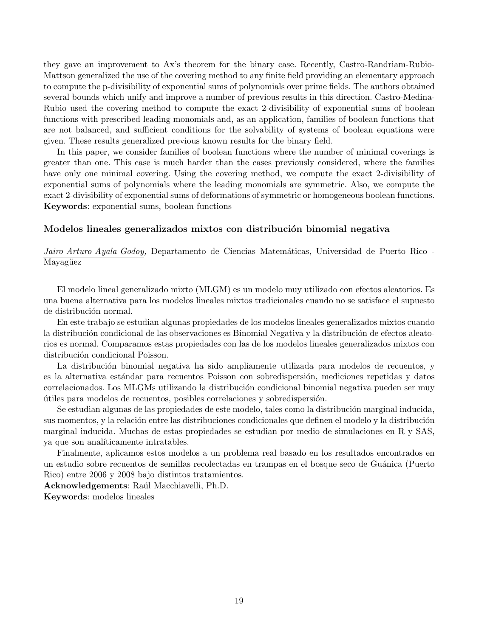they gave an improvement to Ax's theorem for the binary case. Recently, Castro-Randriam-Rubio-Mattson generalized the use of the covering method to any finite field providing an elementary approach to compute the p-divisibility of exponential sums of polynomials over prime fields. The authors obtained several bounds which unify and improve a number of previous results in this direction. Castro-Medina-Rubio used the covering method to compute the exact 2-divisibility of exponential sums of boolean functions with prescribed leading monomials and, as an application, families of boolean functions that are not balanced, and sufficient conditions for the solvability of systems of boolean equations were given. These results generalized previous known results for the binary field.

In this paper, we consider families of boolean functions where the number of minimal coverings is greater than one. This case is much harder than the cases previously considered, where the families have only one minimal covering. Using the covering method, we compute the exact 2-divisibility of exponential sums of polynomials where the leading monomials are symmetric. Also, we compute the exact 2-divisibility of exponential sums of deformations of symmetric or homogeneous boolean functions. Keywords: exponential sums, boolean functions

#### Modelos lineales generalizados mixtos con distribución binomial negativa

Jairo Arturo Ayala Godoy, Departamento de Ciencias Matemáticas, Universidad de Puerto Rico -Mayagüez

El modelo lineal generalizado mixto (MLGM) es un modelo muy utilizado con efectos aleatorios. Es una buena alternativa para los modelos lineales mixtos tradicionales cuando no se satisface el supuesto de distribución normal.

En este trabajo se estudian algunas propiedades de los modelos lineales generalizados mixtos cuando la distribución condicional de las observaciones es Binomial Negativa y la distribución de efectos aleatorios es normal. Comparamos estas propiedades con las de los modelos lineales generalizados mixtos con distribución condicional Poisson.

La distribución binomial negativa ha sido ampliamente utilizada para modelos de recuentos, y es la alternativa estándar para recuentos Poisson con sobredispersión, mediciones repetidas y datos correlacionados. Los MLGMs utilizando la distribución condicional binomial negativa pueden ser muy ´utiles para modelos de recuentos, posibles correlaciones y sobredispersi´on.

Se estudian algunas de las propiedades de este modelo, tales como la distribución marginal inducida, sus momentos, y la relación entre las distribuciones condicionales que definen el modelo y la distribución marginal inducida. Muchas de estas propiedades se estudian por medio de simulaciones en R y SAS, ya que son analíticamente intratables.

Finalmente, aplicamos estos modelos a un problema real basado en los resultados encontrados en un estudio sobre recuentos de semillas recolectadas en trampas en el bosque seco de Gu´anica (Puerto Rico) entre 2006 y 2008 bajo distintos tratamientos.

Acknowledgements: Raúl Macchiavelli, Ph.D.

Keywords: modelos lineales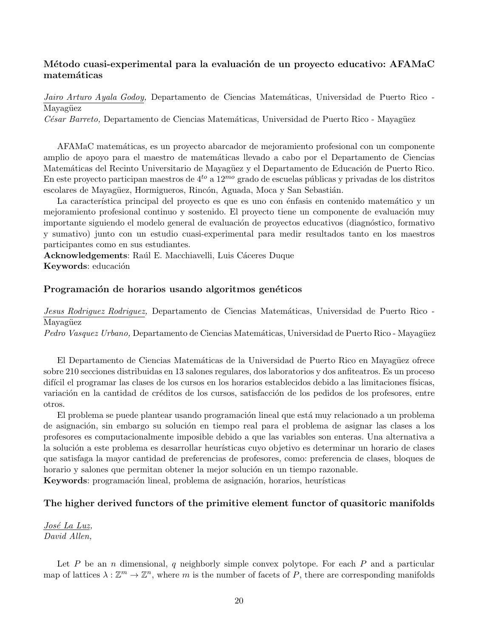## Método cuasi-experimental para la evaluación de un proyecto educativo: AFAMaC matemáticas

Jairo Arturo Ayala Godoy, Departamento de Ciencias Matemáticas, Universidad de Puerto Rico -Mayagüez

César Barreto, Departamento de Ciencias Matemáticas, Universidad de Puerto Rico - Mayagüez

AFAMaC matem´aticas, es un proyecto abarcador de mejoramiento profesional con un componente amplio de apoyo para el maestro de matemáticas llevado a cabo por el Departamento de Ciencias Matemáticas del Recinto Universitario de Mayagüez y el Departamento de Educación de Puerto Rico. En este proyecto participan maestros de  $4^{to}$  a  $12^{mo}$  grado de escuelas públicas y privadas de los distritos escolares de Mayagüez, Hormigueros, Rincón, Aguada, Moca y San Sebastián.

La característica principal del proyecto es que es uno con énfasis en contenido matemático y un mejoramiento profesional continuo y sostenido. El proyecto tiene un componente de evaluación muy importante siguiendo el modelo general de evaluación de proyectos educativos (diagnóstico, formativo y sumativo) junto con un estudio cuasi-experimental para medir resultados tanto en los maestros participantes como en sus estudiantes.

Acknowledgements: Raúl E. Macchiavelli, Luis Cáceres Duque Keywords: educación

## Programación de horarios usando algoritmos genéticos

Jesus Rodriguez Rodriguez, Departamento de Ciencias Matemáticas, Universidad de Puerto Rico -Mayagüez

Pedro Vasquez Urbano, Departamento de Ciencias Matemáticas, Universidad de Puerto Rico - Mayagüez

El Departamento de Ciencias Matemáticas de la Universidad de Puerto Rico en Mayagüez ofrece sobre 210 secciones distribuidas en 13 salones regulares, dos laboratorios y dos anfiteatros. Es un proceso difícil el programar las clases de los cursos en los horarios establecidos debido a las limitaciones físicas, variación en la cantidad de créditos de los cursos, satisfacción de los pedidos de los profesores, entre otros.

El problema se puede plantear usando programación lineal que está muy relacionado a un problema de asignación, sin embargo su solución en tiempo real para el problema de asignar las clases a los profesores es computacionalmente imposible debido a que las variables son enteras. Una alternativa a la solución a este problema es desarrollar heurísticas cuyo objetivo es determinar un horario de clases que satisfaga la mayor cantidad de preferencias de profesores, como: preferencia de clases, bloques de horario y salones que permitan obtener la mejor solución en un tiempo razonable.

Keywords: programación lineal, problema de asignación, horarios, heurísticas

#### The higher derived functors of the primitive element functor of quasitoric manifolds

José La Luz, David Allen,

Let P be an n dimensional, q neighborly simple convex polytope. For each P and a particular map of lattices  $\lambda : \mathbb{Z}^m \to \mathbb{Z}^n$ , where m is the number of facets of P, there are corresponding manifolds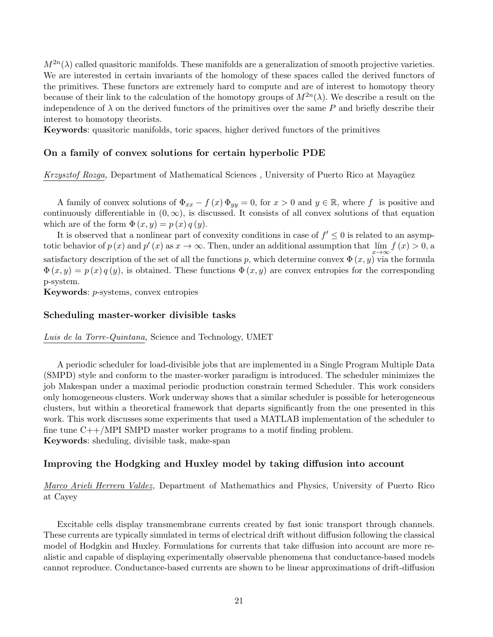$M^{2n}(\lambda)$  called quasitoric manifolds. These manifolds are a generalization of smooth projective varieties. We are interested in certain invariants of the homology of these spaces called the derived functors of the primitives. These functors are extremely hard to compute and are of interest to homotopy theory because of their link to the calculation of the homotopy groups of  $M^{2n}(\lambda)$ . We describe a result on the independence of  $\lambda$  on the derived functors of the primitives over the same P and briefly describe their interest to homotopy theorists.

Keywords: quasitoric manifolds, toric spaces, higher derived functors of the primitives

#### On a family of convex solutions for certain hyperbolic PDE

Krzysztof Rozga, Department of Mathematical Sciences, University of Puerto Rico at Mayagüez

A family of convex solutions of  $\Phi_{xx} - f(x) \Phi_{yy} = 0$ , for  $x > 0$  and  $y \in \mathbb{R}$ , where f is positive and continuously differentiable in  $(0, \infty)$ , is discussed. It consists of all convex solutions of that equation which are of the form  $\Phi(x, y) = p(x) q(y)$ .

It is observed that a nonlinear part of convexity conditions in case of  $f' \leq 0$  is related to an asymptotic behavior of  $p(x)$  and  $p'(x)$  as  $x \to \infty$ . Then, under an additional assumption that  $\lim_{x \to \infty} f(x) > 0$ , a satisfactory description of the set of all the functions p, which determine convex  $\Phi(x, y)$  via the formula  $\Phi(x, y) = p(x) q(y)$ , is obtained. These functions  $\Phi(x, y)$  are convex entropies for the corresponding p-system.

Keywords: p-systems, convex entropies

#### Scheduling master-worker divisible tasks

Luis de la Torre-Quintana, Science and Technology, UMET

A periodic scheduler for load-divisible jobs that are implemented in a Single Program Multiple Data (SMPD) style and conform to the master-worker paradigm is introduced. The scheduler minimizes the job Makespan under a maximal periodic production constrain termed Scheduler. This work considers only homogeneous clusters. Work underway shows that a similar scheduler is possible for heterogeneous clusters, but within a theoretical framework that departs significantly from the one presented in this work. This work discusses some experiments that used a MATLAB implementation of the scheduler to fine tune  $C++/MPI$  SMPD master worker programs to a motif finding problem. Keywords: sheduling, divisible task, make-span

#### Improving the Hodgking and Huxley model by taking diffusion into account

Marco Arieli Herrera Valdez, Department of Mathemathics and Physics, University of Puerto Rico at Cayey

Excitable cells display transmembrane currents created by fast ionic transport through channels. These currents are typically simulated in terms of electrical drift without diffusion following the classical model of Hodgkin and Huxley. Formulations for currents that take diffusion into account are more realistic and capable of displaying experimentally observable phenomena that conductance-based models cannot reproduce. Conductance-based currents are shown to be linear approximations of drift-diffusion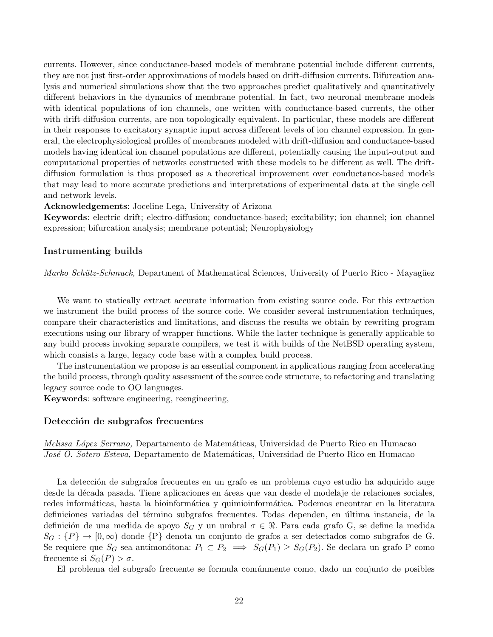currents. However, since conductance-based models of membrane potential include different currents, they are not just first-order approximations of models based on drift-diffusion currents. Bifurcation analysis and numerical simulations show that the two approaches predict qualitatively and quantitatively different behaviors in the dynamics of membrane potential. In fact, two neuronal membrane models with identical populations of ion channels, one written with conductance-based currents, the other with drift-diffusion currents, are non topologically equivalent. In particular, these models are different in their responses to excitatory synaptic input across different levels of ion channel expression. In general, the electrophysiological profiles of membranes modeled with drift-diffusion and conductance-based models having identical ion channel populations are different, potentially causing the input-output and computational properties of networks constructed with these models to be different as well. The driftdiffusion formulation is thus proposed as a theoretical improvement over conductance-based models that may lead to more accurate predictions and interpretations of experimental data at the single cell and network levels.

#### Acknowledgements: Joceline Lega, University of Arizona

Keywords: electric drift; electro-diffusion; conductance-based; excitability; ion channel; ion channel expression; bifurcation analysis; membrane potential; Neurophysiology

#### Instrumenting builds

Marko Schütz-Schmuck, Department of Mathematical Sciences, University of Puerto Rico - Mayagüez

We want to statically extract accurate information from existing source code. For this extraction we instrument the build process of the source code. We consider several instrumentation techniques, compare their characteristics and limitations, and discuss the results we obtain by rewriting program executions using our library of wrapper functions. While the latter technique is generally applicable to any build process invoking separate compilers, we test it with builds of the NetBSD operating system, which consists a large, legacy code base with a complex build process.

The instrumentation we propose is an essential component in applications ranging from accelerating the build process, through quality assessment of the source code structure, to refactoring and translating legacy source code to OO languages.

Keywords: software engineering, reengineering,

#### Detección de subgrafos frecuentes

Melissa López Serrano, Departamento de Matemáticas, Universidad de Puerto Rico en Humacao José O. Sotero Esteva, Departamento de Matemáticas, Universidad de Puerto Rico en Humacao

La detección de subgrafos frecuentes en un grafo es un problema cuyo estudio ha adquirido auge desde la década pasada. Tiene aplicaciones en áreas que van desde el modelaje de relaciones sociales, redes informáticas, hasta la bioinformática y quimioinformática. Podemos encontrar en la literatura definiciones variadas del término subgrafos frecuentes. Todas dependen, en última instancia, de la definición de una medida de apoyo  $S_G$  y un umbral  $\sigma \in \mathbb{R}$ . Para cada grafo G, se define la medida  $S_G$ :  $\{P\} \to [0, \infty)$  donde  $\{P\}$  denota un conjunto de grafos a ser detectados como subgrafos de G. Se requiere que  $S_G$  sea antimonótona:  $P_1 \subset P_2 \implies S_G(P_1) \geq S_G(P_2)$ . Se declara un grafo P como frecuente si  $S_G(P) > \sigma$ .

El problema del subgrafo frecuente se formula comúnmente como, dado un conjunto de posibles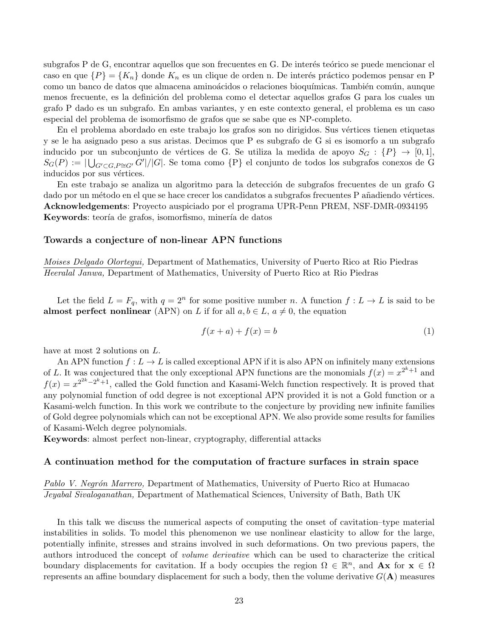subgrafos P de G, encontrar aquellos que son frecuentes en G. De interés teórico se puede mencionar el caso en que  $\{P\} = \{K_n\}$  donde  $K_n$  es un clique de orden n. De interés práctico podemos pensar en P como un banco de datos que almacena aminoácidos o relaciones bioquímicas. También común, aunque menos frecuente, es la definición del problema como el detectar aquellos grafos G para los cuales un grafo P dado es un subgrafo. En ambas variantes, y en este contexto general, el problema es un caso especial del problema de isomorfismo de grafos que se sabe que es NP-completo.

En el problema abordado en este trabajo los grafos son no dirigidos. Sus vértices tienen etiquetas y se le ha asignado peso a sus aristas. Decimos que P es subgrafo de G si es isomorfo a un subgrafo inducido por un subconjunto de vértices de G. Se utiliza la medida de apoyo  $S_G : \{P\} \to [0,1],$  $S_G(P) := |\bigcup_{G' \subset G, P \cong G'} G'| / |G|$ . Se toma como  $\{P\}$  el conjunto de todos los subgrafos conexos de G inducidos por sus vértices.

En este trabajo se analiza un algoritmo para la detección de subgrafos frecuentes de un grafo G dado por un método en el que se hace crecer los candidatos a subgrafos frecuentes P añadiendo vértices. Acknowledgements: Proyecto auspiciado por el programa UPR-Penn PREM, NSF-DMR-0934195 Keywords: teoría de grafos, isomorfismo, minería de datos

#### Towards a conjecture of non-linear APN functions

Moises Delgado Olortegui, Department of Mathematics, University of Puerto Rico at Rio Piedras Heeralal Janwa, Department of Mathematics, University of Puerto Rico at Rio Piedras

Let the field  $L = F_q$ , with  $q = 2^n$  for some positive number n. A function  $f: L \to L$  is said to be almost perfect nonlinear (APN) on L if for all  $a, b \in L$ ,  $a \neq 0$ , the equation

$$
f(x+a) + f(x) = b \tag{1}
$$

have at most 2 solutions on L.

An APN function  $f: L \to L$  is called exceptional APN if it is also APN on infinitely many extensions of L. It was conjectured that the only exceptional APN functions are the monomials  $f(x) = x^{2^k+1}$  and  $f(x) = x^{2^{2k}-2^k+1}$ , called the Gold function and Kasami-Welch function respectively. It is proved that any polynomial function of odd degree is not exceptional APN provided it is not a Gold function or a Kasami-welch function. In this work we contribute to the conjecture by providing new infinite families of Gold degree polynomials which can not be exceptional APN. We also provide some results for families of Kasami-Welch degree polynomials.

Keywords: almost perfect non-linear, cryptography, differential attacks

#### A continuation method for the computation of fracture surfaces in strain space

Pablo V. Negrón Marrero, Department of Mathematics, University of Puerto Rico at Humacao Jeyabal Sivaloganathan, Department of Mathematical Sciences, University of Bath, Bath UK

In this talk we discuss the numerical aspects of computing the onset of cavitation–type material instabilities in solids. To model this phenomenon we use nonlinear elasticity to allow for the large, potentially infinite, stresses and strains involved in such deformations. On two previous papers, the authors introduced the concept of volume derivative which can be used to characterize the critical boundary displacements for cavitation. If a body occupies the region  $\Omega \in \mathbb{R}^n$ , and  $\mathbf{A} \mathbf{x}$  for  $\mathbf{x} \in \Omega$ represents an affine boundary displacement for such a body, then the volume derivative  $G(A)$  measures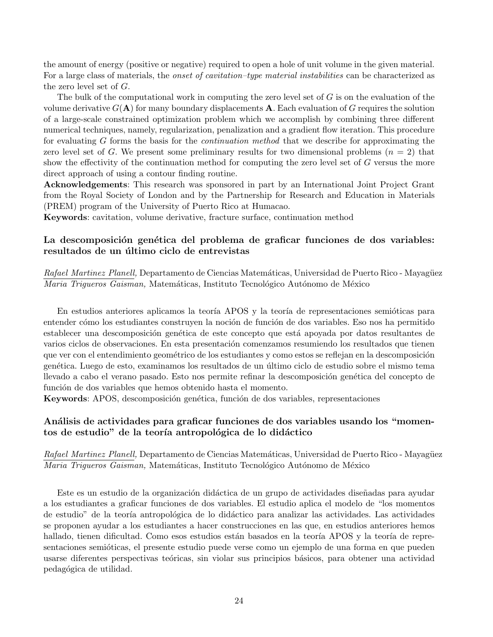the amount of energy (positive or negative) required to open a hole of unit volume in the given material. For a large class of materials, the *onset of cavitation–type material instabilities* can be characterized as the zero level set of G.

The bulk of the computational work in computing the zero level set of  $G$  is on the evaluation of the volume derivative  $G(A)$  for many boundary displacements A. Each evaluation of G requires the solution of a large-scale constrained optimization problem which we accomplish by combining three different numerical techniques, namely, regularization, penalization and a gradient flow iteration. This procedure for evaluating G forms the basis for the continuation method that we describe for approximating the zero level set of G. We present some preliminary results for two dimensional problems  $(n = 2)$  that show the effectivity of the continuation method for computing the zero level set of G versus the more direct approach of using a contour finding routine.

Acknowledgements: This research was sponsored in part by an International Joint Project Grant from the Royal Society of London and by the Partnership for Research and Education in Materials (PREM) program of the University of Puerto Rico at Humacao.

Keywords: cavitation, volume derivative, fracture surface, continuation method

## La descomposición genética del problema de graficar funciones de dos variables: resultados de un último ciclo de entrevistas

Rafael Martinez Planell, Departamento de Ciencias Matemáticas, Universidad de Puerto Rico - Mayagüez Maria Trigueros Gaisman, Matemáticas, Instituto Tecnológico Autónomo de México

En estudios anteriores aplicamos la teoría APOS y la teoría de representaciones semióticas para entender cómo los estudiantes construyen la noción de función de dos variables. Eso nos ha permitido establecer una descomposición genética de este concepto que está apoyada por datos resultantes de varios ciclos de observaciones. En esta presentación comenzamos resumiendo los resultados que tienen que ver con el entendimiento geométrico de los estudiantes y como estos se reflejan en la descomposición gen´etica. Luego de esto, examinamos los resultados de un ´ultimo ciclo de estudio sobre el mismo tema llevado a cabo el verano pasado. Esto nos permite refinar la descomposición genética del concepto de función de dos variables que hemos obtenido hasta el momento.

Keywords: APOS, descomposición genética, función de dos variables, representaciones

## An´alisis de actividades para graficar funciones de dos variables usando los "momentos de estudio" de la teoría antropológica de lo didáctico

Rafael Martinez Planell, Departamento de Ciencias Matemáticas, Universidad de Puerto Rico - Mayagüez Maria Trigueros Gaisman, Matemáticas, Instituto Tecnológico Autónomo de México

Este es un estudio de la organización didáctica de un grupo de actividades diseñadas para ayudar a los estudiantes a graficar funciones de dos variables. El estudio aplica el modelo de "los momentos de estudio" de la teoría antropológica de lo didáctico para analizar las actividades. Las actividades se proponen ayudar a los estudiantes a hacer construcciones en las que, en estudios anteriores hemos hallado, tienen dificultad. Como esos estudios están basados en la teoría APOS y la teoría de representaciones semióticas, el presente estudio puede verse como un ejemplo de una forma en que pueden usarse diferentes perspectivas teóricas, sin violar sus principios básicos, para obtener una actividad pedag´ogica de utilidad.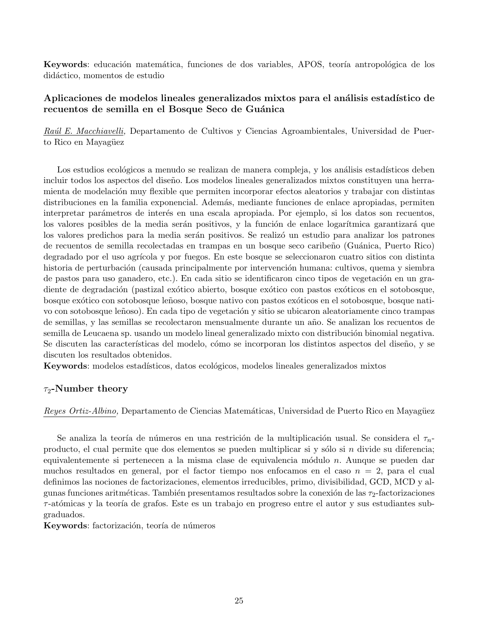Keywords: educación matemática, funciones de dos variables, APOS, teoría antropológica de los didáctico, momentos de estudio

## Aplicaciones de modelos lineales generalizados mixtos para el análisis estadístico de recuentos de semilla en el Bosque Seco de Guánica

Raúl E. Macchiavelli, Departamento de Cultivos y Ciencias Agroambientales, Universidad de Puerto Rico en Mayagüez

Los estudios ecológicos a menudo se realizan de manera compleja, y los análisis estadísticos deben incluir todos los aspectos del diseño. Los modelos lineales generalizados mixtos constituyen una herramienta de modelación muy flexible que permiten incorporar efectos aleatorios y trabajar con distintas distribuciones en la familia exponencial. Además, mediante funciones de enlace apropiadas, permiten interpretar parámetros de interés en una escala apropiada. Por ejemplo, si los datos son recuentos, los valores posibles de la media serán positivos, y la función de enlace logarítmica garantizará que los valores predichos para la media serán positivos. Se realizó un estudio para analizar los patrones de recuentos de semilla recolectadas en trampas en un bosque seco caribe˜no (Gu´anica, Puerto Rico) degradado por el uso agrícola y por fuegos. En este bosque se seleccionaron cuatro sitios con distinta historia de perturbación (causada principalmente por intervención humana: cultivos, quema y siembra de pastos para uso ganadero, etc.). En cada sitio se identificaron cinco tipos de vegetación en un gradiente de degradación (pastizal exótico abierto, bosque exótico con pastos exóticos en el sotobosque, bosque exótico con sotobosque leñoso, bosque nativo con pastos exóticos en el sotobosque, bosque nativo con sotobosque leñoso). En cada tipo de vegetación y sitio se ubicaron aleatoriamente cinco trampas de semillas, y las semillas se recolectaron mensualmente durante un a˜no. Se analizan los recuentos de semilla de Leucaena sp. usando un modelo lineal generalizado mixto con distribución binomial negativa. Se discuten las características del modelo, cómo se incorporan los distintos aspectos del diseño, y se discuten los resultados obtenidos.

Keywords: modelos estadísticos, datos ecológicos, modelos lineales generalizados mixtos

#### $\tau_2$ -Number theory

Reyes Ortiz-Albino, Departamento de Ciencias Matemáticas, Universidad de Puerto Rico en Mayagüez

Se analiza la teoría de números en una restrición de la multiplicación usual. Se considera el  $\tau_{n-}$ producto, el cual permite que dos elementos se pueden multiplicar si y sólo si n divide su diferencia; equivalentemente si pertenecen a la misma clase de equivalencia módulo n. Aunque se pueden dar muchos resultados en general, por el factor tiempo nos enfocamos en el caso  $n = 2$ , para el cual definimos las nociones de factorizaciones, elementos irreducibles, primo, divisibilidad, GCD, MCD y algunas funciones aritméticas. También presentamos resultados sobre la conexión de las  $\tau_2$ -factorizaciones  $\tau$ -atómicas y la teoría de grafos. Este es un trabajo en progreso entre el autor y sus estudiantes subgraduados.

Keywords: factorización, teoría de números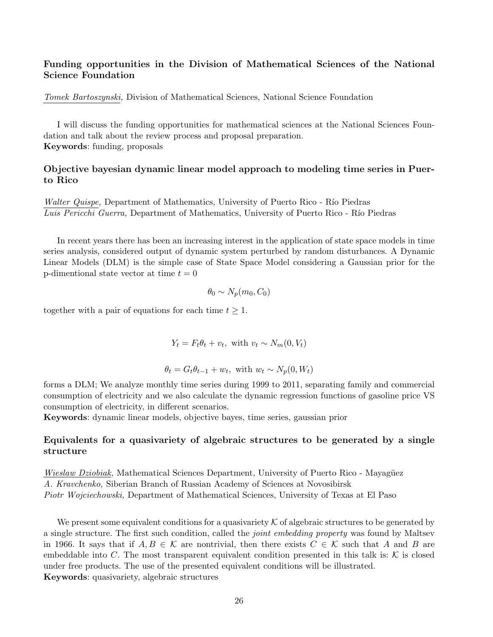## Funding opportunities in the Division of Mathematical Sciences of the National Science Foundation

Tomek Bartoszynski, Division of Mathematical Sciences, National Science Foundation

I will discuss the funding opportunities for mathematical sciences at the National Sciences Foundation and talk about the review process and proposal preparation. Keywords: funding, proposals

## Objective bayesian dynamic linear model approach to modeling time series in Puerto Rico

Walter Quispe, Department of Mathematics, University of Puerto Rico - Río Piedras Luis Pericchi Guerra, Department of Mathematics, University of Puerto Rico - Río Piedras

In recent years there has been an increasing interest in the application of state space models in time series analysis, considered output of dynamic system perturbed by random disturbances. A Dynamic Linear Models (DLM) is the simple case of State Space Model considering a Gaussian prior for the p-dimentional state vector at time  $t = 0$ 

$$
\theta_0 \sim N_p(m_0, C_0)
$$

together with a pair of equations for each time  $t \geq 1$ .

 $Y_t = F_t \theta_t + v_t$ , with  $v_t \sim N_m(0, V_t)$ 

$$
\theta_t = G_t \theta_{t-1} + w_t, \text{ with } w_t \sim N_p(0, W_t)
$$

forms a DLM; We analyze monthly time series during 1999 to 2011, separating family and commercial consumption of electricity and we also calculate the dynamic regression functions of gasoline price VS consumption of electricity, in different scenarios.

Keywords: dynamic linear models, objective bayes, time series, gaussian prior

## Equivalents for a quasivariety of algebraic structures to be generated by a single structure

Wieslaw Dziobiak, Mathematical Sciences Department, University of Puerto Rico - Mayagüez A. Kravchenko, Siberian Branch of Russian Academy of Sciences at Novosibirsk Piotr Wojciechowski, Department of Mathematical Sciences, University of Texas at El Paso

We present some equivalent conditions for a quasivariety  $K$  of algebraic structures to be generated by a single structure. The first such condition, called the joint embedding property was found by Maltsev in 1966. It says that if  $A, B \in \mathcal{K}$  are nontrivial, then there exists  $C \in \mathcal{K}$  such that A and B are embeddable into C. The most transparent equivalent condition presented in this talk is:  $K$  is closed under free products. The use of the presented equivalent conditions will be illustrated. Keywords: quasivariety, algebraic structures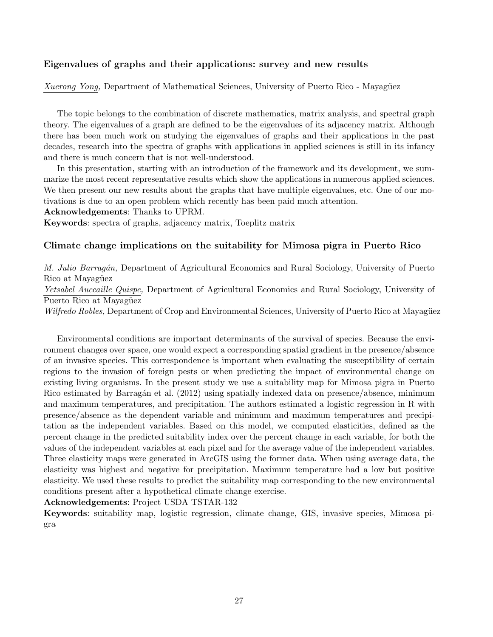## Eigenvalues of graphs and their applications: survey and new results

Xuerong Yong, Department of Mathematical Sciences, University of Puerto Rico - Mayagüez

The topic belongs to the combination of discrete mathematics, matrix analysis, and spectral graph theory. The eigenvalues of a graph are defined to be the eigenvalues of its adjacency matrix. Although there has been much work on studying the eigenvalues of graphs and their applications in the past decades, research into the spectra of graphs with applications in applied sciences is still in its infancy and there is much concern that is not well-understood.

In this presentation, starting with an introduction of the framework and its development, we summarize the most recent representative results which show the applications in numerous applied sciences. We then present our new results about the graphs that have multiple eigenvalues, etc. One of our motivations is due to an open problem which recently has been paid much attention.

Acknowledgements: Thanks to UPRM.

Keywords: spectra of graphs, adjacency matrix, Toeplitz matrix

## Climate change implications on the suitability for Mimosa pigra in Puerto Rico

M. Julio Barragán, Department of Agricultural Economics and Rural Sociology, University of Puerto Rico at Mayagüez Yetsabel Auccaille Quispe, Department of Agricultural Economics and Rural Sociology, University of Puerto Rico at Mayagüez Wilfredo Robles, Department of Crop and Environmental Sciences, University of Puerto Rico at Mayagüez

Environmental conditions are important determinants of the survival of species. Because the environment changes over space, one would expect a corresponding spatial gradient in the presence/absence of an invasive species. This correspondence is important when evaluating the susceptibility of certain regions to the invasion of foreign pests or when predicting the impact of environmental change on existing living organisms. In the present study we use a suitability map for Mimosa pigra in Puerto Rico estimated by Barragán et al. (2012) using spatially indexed data on presence/absence, minimum and maximum temperatures, and precipitation. The authors estimated a logistic regression in R with presence/absence as the dependent variable and minimum and maximum temperatures and precipitation as the independent variables. Based on this model, we computed elasticities, defined as the percent change in the predicted suitability index over the percent change in each variable, for both the values of the independent variables at each pixel and for the average value of the independent variables. Three elasticity maps were generated in ArcGIS using the former data. When using average data, the elasticity was highest and negative for precipitation. Maximum temperature had a low but positive elasticity. We used these results to predict the suitability map corresponding to the new environmental conditions present after a hypothetical climate change exercise.

Acknowledgements: Project USDA TSTAR-132

Keywords: suitability map, logistic regression, climate change, GIS, invasive species, Mimosa pigra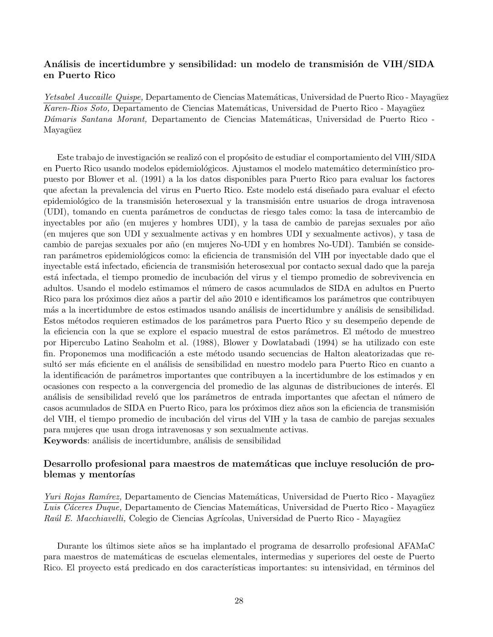## Análisis de incertidumbre y sensibilidad: un modelo de transmisión de VIH/SIDA en Puerto Rico

Yetsabel Auccaille Quispe, Departamento de Ciencias Matemáticas, Universidad de Puerto Rico - Mayagüez Karen-Rios Soto, Departamento de Ciencias Matemáticas, Universidad de Puerto Rico - Mayagüez Dámaris Santana Morant, Departamento de Ciencias Matemáticas, Universidad de Puerto Rico -Mayagüez

Este trabajo de investigación se realizó con el propósito de estudiar el comportamiento del VIH/SIDA en Puerto Rico usando modelos epidemiológicos. Ajustamos el modelo matemático determinístico propuesto por Blower et al. (1991) a la los datos disponibles para Puerto Rico para evaluar los factores que afectan la prevalencia del virus en Puerto Rico. Este modelo está diseñado para evaluar el efecto epidemiológico de la transmisión heterosexual y la transmisión entre usuarios de droga intravenosa (UDI), tomando en cuenta par´ametros de conductas de riesgo tales como: la tasa de intercambio de inyectables por año (en mujeres y hombres UDI), y la tasa de cambio de parejas sexuales por año (en mujeres que son UDI y sexualmente activas y en hombres UDI y sexualmente activos), y tasa de cambio de parejas sexuales por año (en mujeres No-UDI y en hombres No-UDI). También se consideran parámetros epidemiológicos como: la eficiencia de transmisión del VIH por inyectable dado que el inyectable está infectado, eficiencia de transmisión heterosexual por contacto sexual dado que la pareja está infectada, el tiempo promedio de incubación del virus y el tiempo promedio de sobrevivencia en adultos. Usando el modelo estimamos el n´umero de casos acumulados de SIDA en adultos en Puerto Rico para los próximos diez años a partir del año 2010 e identificamos los parámetros que contribuyen más a la incertidumbre de estos estimados usando análisis de incertidumbre y análisis de sensibilidad. Estos métodos requieren estimados de los parámetros para Puerto Rico y su desempeño depende de la eficiencia con la que se explore el espacio muestral de estos parámetros. El método de muestreo por Hipercubo Latino Seaholm et al. (1988), Blower y Dowlatabadi (1994) se ha utilizado con este fin. Proponemos una modificación a este método usando secuencias de Halton aleatorizadas que resultó ser más eficiente en el análisis de sensibilidad en nuestro modelo para Puerto Rico en cuanto a la identificación de parámetros importantes que contribuyen a la incertidumbre de los estimados y en ocasiones con respecto a la convergencia del promedio de las algunas de distribuciones de inter´es. El análisis de sensibilidad reveló que los parámetros de entrada importantes que afectan el número de casos acumulados de SIDA en Puerto Rico, para los próximos diez años son la eficiencia de transmisión del VIH, el tiempo promedio de incubación del virus del VIH y la tasa de cambio de parejas sexuales para mujeres que usan droga intravenosas y son sexualmente activas. Keywords: análisis de incertidumbre, análisis de sensibilidad

## Desarrollo profesional para maestros de matemáticas que incluye resolución de problemas y mentorías

Yuri Rojas Ramírez, Departamento de Ciencias Matemáticas, Universidad de Puerto Rico - Mayagüez Luis Cáceres Duque, Departamento de Ciencias Matemáticas, Universidad de Puerto Rico - Mayagüez Raúl E. Macchiavelli, Colegio de Ciencias Agrícolas, Universidad de Puerto Rico - Mayagüez

Durante los últimos siete años se ha implantado el programa de desarrollo profesional AFAMaC para maestros de matem´aticas de escuelas elementales, intermedias y superiores del oeste de Puerto Rico. El proyecto está predicado en dos características importantes: su intensividad, en términos del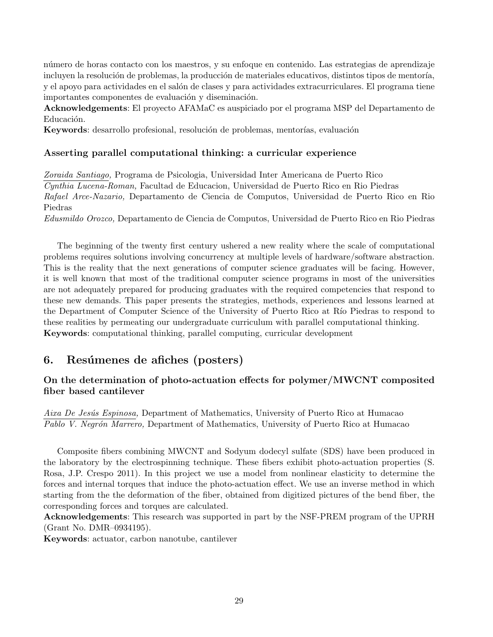n´umero de horas contacto con los maestros, y su enfoque en contenido. Las estrategias de aprendizaje incluyen la resolución de problemas, la producción de materiales educativos, distintos tipos de mentoría, y el apoyo para actividades en el salón de clases y para actividades extracurriculares. El programa tiene importantes componentes de evaluación y diseminación.

Acknowledgements: El proyecto AFAMaC es auspiciado por el programa MSP del Departamento de Educación.

Keywords: desarrollo profesional, resolución de problemas, mentorías, evaluación

## Asserting parallel computational thinking: a curricular experience

Zoraida Santiago, Programa de Psicologia, Universidad Inter Americana de Puerto Rico Cynthia Lucena-Roman, Facultad de Educacion, Universidad de Puerto Rico en Rio Piedras Rafael Arce-Nazario, Departamento de Ciencia de Computos, Universidad de Puerto Rico en Rio Piedras

Edusmildo Orozco, Departamento de Ciencia de Computos, Universidad de Puerto Rico en Rio Piedras

The beginning of the twenty first century ushered a new reality where the scale of computational problems requires solutions involving concurrency at multiple levels of hardware/software abstraction. This is the reality that the next generations of computer science graduates will be facing. However, it is well known that most of the traditional computer science programs in most of the universities are not adequately prepared for producing graduates with the required competencies that respond to these new demands. This paper presents the strategies, methods, experiences and lessons learned at the Department of Computer Science of the University of Puerto Rico at Río Piedras to respond to these realities by permeating our undergraduate curriculum with parallel computational thinking. Keywords: computational thinking, parallel computing, curricular development

## 6. Resúmenes de afiches (posters)

## On the determination of photo-actuation effects for polymer/MWCNT composited fiber based cantilever

Aixa De Jesús Espinosa, Department of Mathematics, University of Puerto Rico at Humacao Pablo V. Negrón Marrero, Department of Mathematics, University of Puerto Rico at Humacao

Composite fibers combining MWCNT and Sodyum dodecyl sulfate (SDS) have been produced in the laboratory by the electrospinning technique. These fibers exhibit photo-actuation properties (S. Rosa, J.P. Crespo 2011). In this project we use a model from nonlinear elasticity to determine the forces and internal torques that induce the photo-actuation effect. We use an inverse method in which starting from the the deformation of the fiber, obtained from digitized pictures of the bend fiber, the corresponding forces and torques are calculated.

Acknowledgements: This research was supported in part by the NSF-PREM program of the UPRH (Grant No. DMR–0934195).

Keywords: actuator, carbon nanotube, cantilever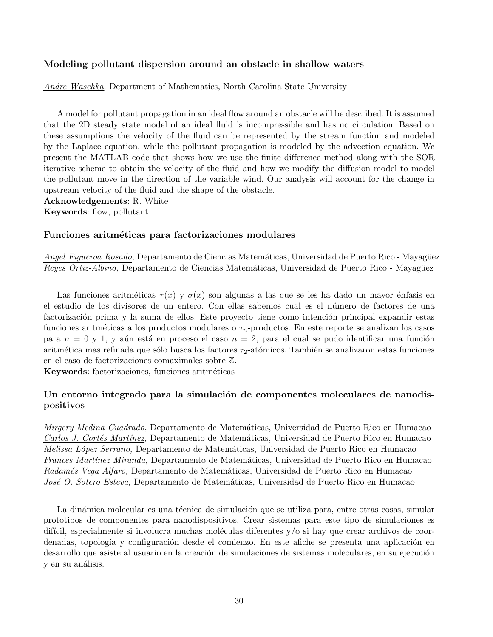## Modeling pollutant dispersion around an obstacle in shallow waters

Andre Waschka, Department of Mathematics, North Carolina State University

A model for pollutant propagation in an ideal flow around an obstacle will be described. It is assumed that the 2D steady state model of an ideal fluid is incompressible and has no circulation. Based on these assumptions the velocity of the fluid can be represented by the stream function and modeled by the Laplace equation, while the pollutant propagation is modeled by the advection equation. We present the MATLAB code that shows how we use the finite difference method along with the SOR iterative scheme to obtain the velocity of the fluid and how we modify the diffusion model to model the pollutant move in the direction of the variable wind. Our analysis will account for the change in upstream velocity of the fluid and the shape of the obstacle.

Acknowledgements: R. White

Keywords: flow, pollutant

#### Funciones aritméticas para factorizaciones modulares

Angel Figueroa Rosado, Departamento de Ciencias Matemáticas, Universidad de Puerto Rico - Mayagüez Reyes Ortiz-Albino, Departamento de Ciencias Matemáticas, Universidad de Puerto Rico - Mayagüez

Las funciones aritméticas  $\tau(x)$  y  $\sigma(x)$  son algunas a las que se les ha dado un mayor énfasis en el estudio de los divisores de un entero. Con ellas sabemos cual es el n´umero de factores de una factorización prima y la suma de ellos. Este proyecto tiene como intención principal expandir estas funciones aritméticas a los productos modulares o  $\tau_n$ -productos. En este reporte se analizan los casos para  $n = 0$  y 1, y aún está en proceso el caso  $n = 2$ , para el cual se pudo identificar una función aritmética mas refinada que sólo busca los factores  $\tau_2$ -atómicos. También se analizaron estas funciones en el caso de factorizaciones comaximales sobre Z.

Keywords: factorizaciones, funciones aritméticas

## Un entorno integrado para la simulación de componentes moleculares de nanodispositivos

Mirgery Medina Cuadrado, Departamento de Matemáticas, Universidad de Puerto Rico en Humacao Carlos J. Cortés Martínez, Departamento de Matemáticas, Universidad de Puerto Rico en Humacao Melissa López Serrano, Departamento de Matemáticas, Universidad de Puerto Rico en Humacao Frances Martínez Miranda, Departamento de Matemáticas, Universidad de Puerto Rico en Humacao Radamés Vega Alfaro, Departamento de Matemáticas, Universidad de Puerto Rico en Humacao José O. Sotero Esteva, Departamento de Matemáticas, Universidad de Puerto Rico en Humacao

La dinámica molecular es una técnica de simulación que se utiliza para, entre otras cosas, simular prototipos de componentes para nanodispositivos. Crear sistemas para este tipo de simulaciones es difícil, especialmente si involucra muchas moléculas diferentes  $y/\sigma$  si hay que crear archivos de coordenadas, topología y configuración desde el comienzo. En este afiche se presenta una aplicación en desarrollo que asiste al usuario en la creación de simulaciones de sistemas moleculares, en su ejecución y en su análisis.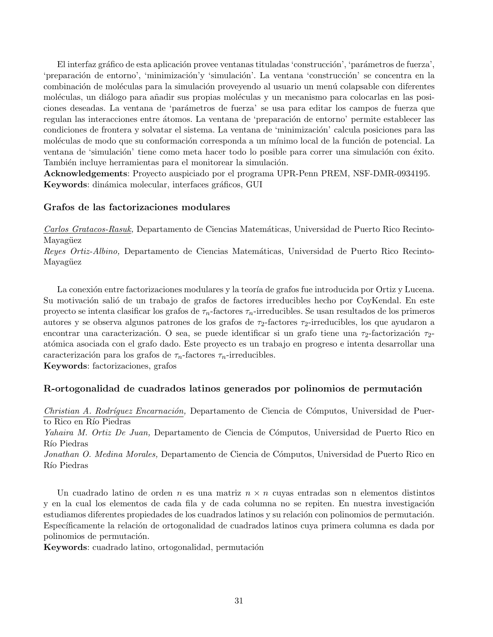El interfaz gráfico de esta aplicación provee ventanas tituladas 'construcción', 'parámetros de fuerza', 'preparación de entorno', 'minimización'y 'simulación'. La ventana 'construcción' se concentra en la combinación de moléculas para la simulación proveyendo al usuario un menú colapsable con diferentes moléculas, un diálogo para añadir sus propias moléculas y un mecanismo para colocarlas en las posiciones deseadas. La ventana de 'parámetros de fuerza' se usa para editar los campos de fuerza que regulan las interacciones entre átomos. La ventana de 'preparación de entorno' permite establecer las condiciones de frontera y solvatar el sistema. La ventana de 'minimización' calcula posiciones para las moléculas de modo que su conformación corresponda a un mínimo local de la función de potencial. La ventana de 'simulación' tiene como meta hacer todo lo posible para correr una simulación con éxito. También incluye herramientas para el monitorear la simulación.

Acknowledgements: Proyecto auspiciado por el programa UPR-Penn PREM, NSF-DMR-0934195. Keywords: dinámica molecular, interfaces gráficos, GUI

#### Grafos de las factorizaciones modulares

Carlos Gratacos-Rasuk, Departamento de Ciencias Matemáticas, Universidad de Puerto Rico Recinto-Mayagüez

Reyes Ortiz-Albino, Departamento de Ciencias Matemáticas, Universidad de Puerto Rico Recinto-Mayagüez

La conexión entre factorizaciones modulares y la teoría de grafos fue introducida por Ortiz y Lucena. Su motivación salió de un trabajo de grafos de factores irreducibles hecho por CoyKendal. En este proyecto se intenta clasificar los grafos de  $\tau_n$ -factores  $\tau_n$ -irreducibles. Se usan resultados de los primeros autores y se observa algunos patrones de los grafos de  $\tau_2$ -factores  $\tau_2$ -irreducibles, los que ayudaron a encontrar una caracterización. O sea, se puede identificar si un grafo tiene una  $\tau_2$ -factorización  $\tau_2$ at´omica asociada con el grafo dado. Este proyecto es un trabajo en progreso e intenta desarrollar una caracterización para los grafos de  $\tau_n$ -factores  $\tau_n$ -irreducibles.

Keywords: factorizaciones, grafos

#### R-ortogonalidad de cuadrados latinos generados por polinomios de permutación

Christian A. Rodríguez Encarnación, Departamento de Ciencia de Cómputos, Universidad de Puerto Rico en Río Piedras

Yahaira M. Ortiz De Juan, Departamento de Ciencia de Cómputos, Universidad de Puerto Rico en Río Piedras

Jonathan O. Medina Morales, Departamento de Ciencia de Cómputos, Universidad de Puerto Rico en Río Piedras

Un cuadrado latino de orden n es una matriz  $n \times n$  cuyas entradas son n elementos distintos y en la cual los elementos de cada fila y de cada columna no se repiten. En nuestra investigación estudiamos diferentes propiedades de los cuadrados latinos y su relación con polinomios de permutación. Específicamente la relación de ortogonalidad de cuadrados latinos cuya primera columna es dada por polinomios de permutación.

Keywords: cuadrado latino, ortogonalidad, permutación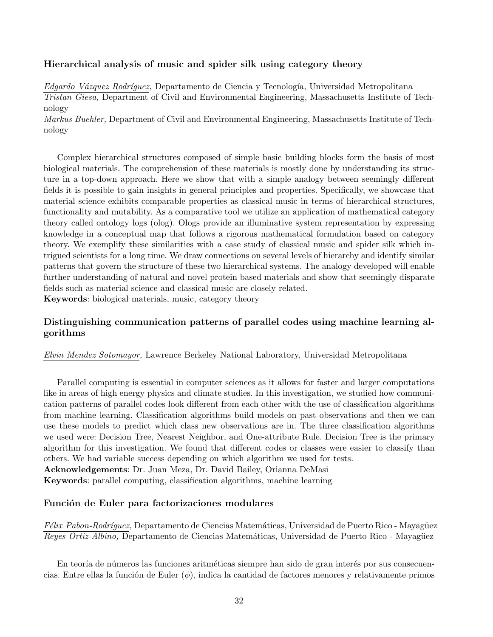## Hierarchical analysis of music and spider silk using category theory

Edgardo Vázquez Rodríquez, Departamento de Ciencia y Tecnología, Universidad Metropolitana Tristan Giesa, Department of Civil and Environmental Engineering, Massachusetts Institute of Technology

Markus Buehler, Department of Civil and Environmental Engineering, Massachusetts Institute of Technology

Complex hierarchical structures composed of simple basic building blocks form the basis of most biological materials. The comprehension of these materials is mostly done by understanding its structure in a top-down approach. Here we show that with a simple analogy between seemingly different fields it is possible to gain insights in general principles and properties. Specifically, we showcase that material science exhibits comparable properties as classical music in terms of hierarchical structures, functionality and mutability. As a comparative tool we utilize an application of mathematical category theory called ontology logs (olog). Ologs provide an illuminative system representation by expressing knowledge in a conceptual map that follows a rigorous mathematical formulation based on category theory. We exemplify these similarities with a case study of classical music and spider silk which intrigued scientists for a long time. We draw connections on several levels of hierarchy and identify similar patterns that govern the structure of these two hierarchical systems. The analogy developed will enable further understanding of natural and novel protein based materials and show that seemingly disparate fields such as material science and classical music are closely related.

Keywords: biological materials, music, category theory

## Distinguishing communication patterns of parallel codes using machine learning algorithms

Elvin Mendez Sotomayor, Lawrence Berkeley National Laboratory, Universidad Metropolitana

Parallel computing is essential in computer sciences as it allows for faster and larger computations like in areas of high energy physics and climate studies. In this investigation, we studied how communication patterns of parallel codes look different from each other with the use of classification algorithms from machine learning. Classification algorithms build models on past observations and then we can use these models to predict which class new observations are in. The three classification algorithms we used were: Decision Tree, Nearest Neighbor, and One-attribute Rule. Decision Tree is the primary algorithm for this investigation. We found that different codes or classes were easier to classify than others. We had variable success depending on which algorithm we used for tests. Acknowledgements: Dr. Juan Meza, Dr. David Bailey, Orianna DeMasi

Keywords: parallel computing, classification algorithms, machine learning

#### Función de Euler para factorizaciones modulares

Félix Pabon-Rodríguez, Departamento de Ciencias Matemáticas, Universidad de Puerto Rico - Mayagüez Reyes Ortiz-Albino, Departamento de Ciencias Matemáticas, Universidad de Puerto Rico - Mayagüez

En teoría de números las funciones aritméticas siempre han sido de gran interés por sus consecuencias. Entre ellas la función de Euler  $(\phi)$ , indica la cantidad de factores menores y relativamente primos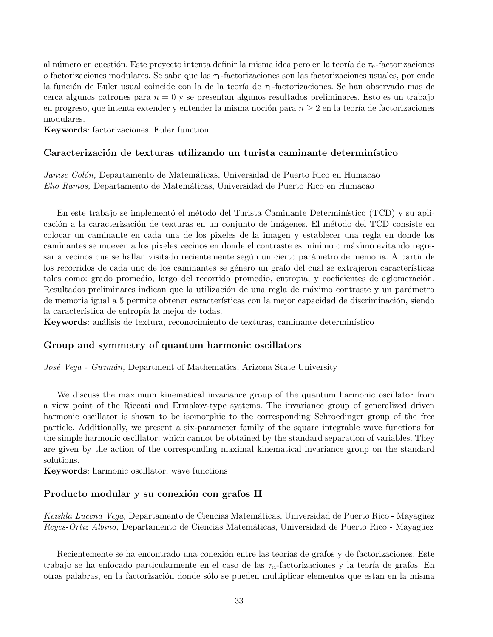al número en cuestión. Este proyecto intenta definir la misma idea pero en la teoría de  $\tau_n$ -factorizaciones o factorizaciones modulares. Se sabe que las  $\tau_1$ -factorizaciones son las factorizaciones usuales, por ende la función de Euler usual coincide con la de la teoría de  $\tau_1$ -factorizaciones. Se han observado mas de cerca algunos patrones para  $n = 0$  y se presentan algunos resultados preliminares. Esto es un trabajo en progreso, que intenta extender y entender la misma noción para  $n \geq 2$  en la teoría de factorizaciones modulares.

Keywords: factorizaciones, Euler function

#### Caracterización de texturas utilizando un turista caminante determinístico

Janise Colón, Departamento de Matemáticas, Universidad de Puerto Rico en Humacao Elio Ramos, Departamento de Matemáticas, Universidad de Puerto Rico en Humacao

En este trabajo se implementó el método del Turista Caminante Determinístico (TCD) y su aplicación a la caracterización de texturas en un conjunto de imágenes. El método del TCD consiste en colocar un caminante en cada una de los pixeles de la imagen y establecer una regla en donde los caminantes se mueven a los pixeles vecinos en donde el contraste es mínimo o máximo evitando regresar a vecinos que se hallan visitado recientemente según un cierto parámetro de memoria. A partir de los recorridos de cada uno de los caminantes se género un grafo del cual se extrajeron características tales como: grado promedio, largo del recorrido promedio, entropía, y coeficientes de aglomeración. Resultados preliminares indican que la utilización de una regla de máximo contraste y un parámetro de memoria igual a 5 permite obtener características con la mejor capacidad de discriminación, siendo la característica de entropía la mejor de todas.

Keywords: análisis de textura, reconocimiento de texturas, caminante determinístico

#### Group and symmetry of quantum harmonic oscillators

José Vega - Guzmán, Department of Mathematics, Arizona State University

We discuss the maximum kinematical invariance group of the quantum harmonic oscillator from a view point of the Riccati and Ermakov-type systems. The invariance group of generalized driven harmonic oscillator is shown to be isomorphic to the corresponding Schroedinger group of the free particle. Additionally, we present a six-parameter family of the square integrable wave functions for the simple harmonic oscillator, which cannot be obtained by the standard separation of variables. They are given by the action of the corresponding maximal kinematical invariance group on the standard solutions.

Keywords: harmonic oscillator, wave functions

#### Producto modular y su conexión con grafos II

Keishla Lucena Vega, Departamento de Ciencias Matemáticas, Universidad de Puerto Rico - Mayagüez Reyes-Ortiz Albino, Departamento de Ciencias Matemáticas, Universidad de Puerto Rico - Mayagüez

Recientemente se ha encontrado una conexión entre las teorías de grafos y de factorizaciones. Este trabajo se ha enfocado particularmente en el caso de las  $\tau_n$ -factorizaciones y la teoría de grafos. En otras palabras, en la factorizaci´on donde s´olo se pueden multiplicar elementos que estan en la misma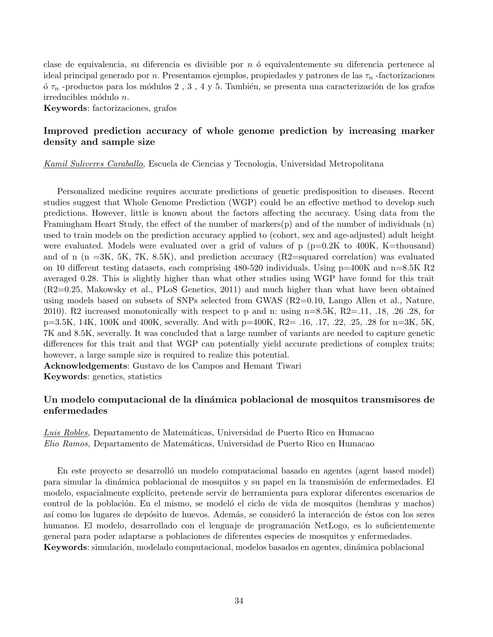clase de equivalencia, su diferencia es divisible por  $n$  ó equivalentemente su diferencia pertenece al ideal principal generado por n. Presentamos ejemplos, propiedades y patrones de las  $\tau_n$ -factorizaciones ó  $\tau_n$  -productos para los módulos 2 , 3 , 4 y 5. También, se presenta una caracterización de los grafos  $irreducibles módulo n.$ 

Keywords: factorizaciones, grafos

## Improved prediction accuracy of whole genome prediction by increasing marker density and sample size

Kamil Suliveres Caraballo, Escuela de Ciencias y Tecnologia, Universidad Metropolitana

Personalized medicine requires accurate predictions of genetic predisposition to diseases. Recent studies suggest that Whole Genome Prediction (WGP) could be an effective method to develop such predictions. However, little is known about the factors affecting the accuracy. Using data from the Framingham Heart Study, the effect of the number of markers(p) and of the number of individuals (n) used to train models on the prediction accuracy applied to (cohort, sex and age-adjusted) adult height were evaluated. Models were evaluated over a grid of values of  $p (p=0.2K)$  to 400K, K=thousand) and of n (n =3K, 5K, 7K, 8.5K), and prediction accuracy (R2=squared correlation) was evaluated on 10 different testing datasets, each comprising  $480-520$  individuals. Using  $p=400K$  and  $n=8.5K$  R2 averaged 0.28. This is slightly higher than what other studies using WGP have found for this trait (R2=0.25, Makowsky et al., PLoS Genetics, 2011) and much higher than what have been obtained using models based on subsets of SNPs selected from GWAS (R2=0.10, Lango Allen et al., Nature, 2010). R2 increased monotonically with respect to p and n: using  $n=8.5K$ ,  $R2=.11$ ,  $.18$ ,  $.26$   $.28$ , for p=3.5K, 14K, 100K and 400K, severally. And with p=400K, R2= .16, .17, .22, .25, .28 for n=3K, 5K, 7K and 8.5K, severally. It was concluded that a large number of variants are needed to capture genetic differences for this trait and that WGP can potentially yield accurate predictions of complex traits; however, a large sample size is required to realize this potential.

Acknowledgements: Gustavo de los Campos and Hemant Tiwari Keywords: genetics, statistics

## Un modelo computacional de la dinámica poblacional de mosquitos transmisores de enfermedades

Luis Robles, Departamento de Matemáticas, Universidad de Puerto Rico en Humacao Elio Ramos, Departamento de Matem´aticas, Universidad de Puerto Rico en Humacao

En este proyecto se desarrolló un modelo computacional basado en agentes (agent based model) para simular la dinámica poblacional de mosquitos y su papel en la transmisión de enfermedades. El modelo, espacialmente explícito, pretende servir de herramienta para explorar diferentes escenarios de control de la población. En el mismo, se modeló el ciclo de vida de mosquitos (hembras y machos) así como los lugares de depósito de huevos. Además, se consideró la interacción de éstos con los seres humanos. El modelo, desarrollado con el lenguaje de programación NetLogo, es lo suficientemente general para poder adaptarse a poblaciones de diferentes especies de mosquitos y enfermedades. Keywords: simulación, modelado computacional, modelos basados en agentes, dinámica poblacional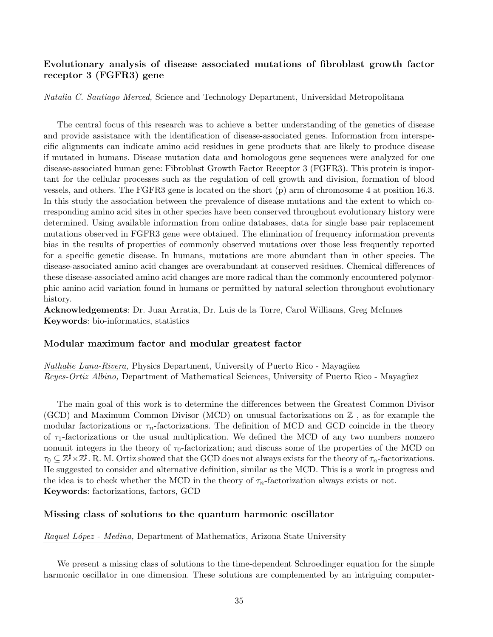## Evolutionary analysis of disease associated mutations of fibroblast growth factor receptor 3 (FGFR3) gene

Natalia C. Santiago Merced, Science and Technology Department, Universidad Metropolitana

The central focus of this research was to achieve a better understanding of the genetics of disease and provide assistance with the identification of disease-associated genes. Information from interspecific alignments can indicate amino acid residues in gene products that are likely to produce disease if mutated in humans. Disease mutation data and homologous gene sequences were analyzed for one disease-associated human gene: Fibroblast Growth Factor Receptor 3 (FGFR3). This protein is important for the cellular processes such as the regulation of cell growth and division, formation of blood vessels, and others. The FGFR3 gene is located on the short (p) arm of chromosome 4 at position 16.3. In this study the association between the prevalence of disease mutations and the extent to which corresponding amino acid sites in other species have been conserved throughout evolutionary history were determined. Using available information from online databases, data for single base pair replacement mutations observed in FGFR3 gene were obtained. The elimination of frequency information prevents bias in the results of properties of commonly observed mutations over those less frequently reported for a specific genetic disease. In humans, mutations are more abundant than in other species. The disease-associated amino acid changes are overabundant at conserved residues. Chemical differences of these disease-associated amino acid changes are more radical than the commonly encountered polymorphic amino acid variation found in humans or permitted by natural selection throughout evolutionary history.

Acknowledgements: Dr. Juan Arratia, Dr. Luis de la Torre, Carol Williams, Greg McInnes Keywords: bio-informatics, statistics

#### Modular maximum factor and modular greatest factor

Nathalie Luna-Rivera, Physics Department, University of Puerto Rico - Mayagüez Reyes-Ortiz Albino, Department of Mathematical Sciences, University of Puerto Rico - Mayagüez

The main goal of this work is to determine the differences between the Greatest Common Divisor (GCD) and Maximum Common Divisor (MCD) on unusual factorizations on  $\mathbb Z$ , as for example the modular factorizations or  $\tau_n$ -factorizations. The definition of MCD and GCD coincide in the theory of  $\tau_1$ -factorizations or the usual multiplication. We defined the MCD of any two numbers nonzero nonunit integers in the theory of  $\tau_0$ -factorization; and discuss some of the properties of the MCD on  $\tau_0 \subseteq \mathbb{Z}^{\sharp} \times \mathbb{Z}^{\sharp}$ . R. M. Ortiz showed that the GCD does not always exists for the theory of  $\tau_n$ -factorizations. He suggested to consider and alternative definition, similar as the MCD. This is a work in progress and the idea is to check whether the MCD in the theory of  $\tau_n$ -factorization always exists or not. Keywords: factorizations, factors, GCD

#### Missing class of solutions to the quantum harmonic oscillator

Raquel López - Medina, Department of Mathematics, Arizona State University

We present a missing class of solutions to the time-dependent Schroedinger equation for the simple harmonic oscillator in one dimension. These solutions are complemented by an intriguing computer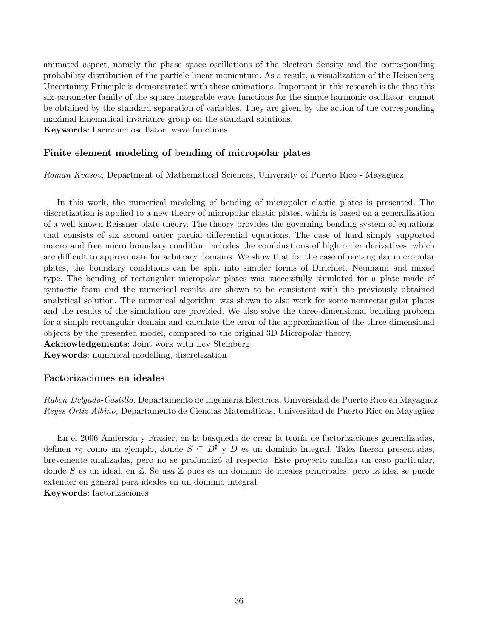animated aspect, namely the phase space oscillations of the electron density and the corresponding probability distribution of the particle linear momentum. As a result, a visualization of the Heisenberg Uncertainty Principle is demonstrated with these animations. Important in this research is the that this six-parameter family of the square integrable wave functions for the simple harmonic oscillator, cannot be obtained by the standard separation of variables. They are given by the action of the corresponding maximal kinematical invariance group on the standard solutions.

Keywords: harmonic oscillator, wave functions

## Finite element modeling of bending of micropolar plates

Roman Kvasov, Department of Mathematical Sciences, University of Puerto Rico - Mayagüez

In this work, the numerical modeling of bending of micropolar elastic plates is presented. The discretization is applied to a new theory of micropolar elastic plates, which is based on a generalization of a well known Reissner plate theory. The theory provides the governing bending system of equations that consists of six second order partial differential equations. The case of hard simply supported macro and free micro boundary condition includes the combinations of high order derivatives, which are difficult to approximate for arbitrary domains. We show that for the case of rectangular micropolar plates, the boundary conditions can be split into simpler forms of Dirichlet, Neumann and mixed type. The bending of rectangular micropolar plates was successfully simulated for a plate made of syntactic foam and the numerical results are shown to be consistent with the previously obtained analytical solution. The numerical algorithm was shown to also work for some nonrectangular plates and the results of the simulation are provided. We also solve the three-dimensional bending problem for a simple rectangular domain and calculate the error of the approximation of the three dimensional objects by the presented model, compared to the original 3D Micropolar theory.

Acknowledgements: Joint work with Lev Steinberg

Keywords: numerical modelling, discretization

## Factorizaciones en ideales

Ruben Delgado-Castillo, Departamento de Ingenieria Electrica, Universidad de Puerto Rico en Mayagüez Reyes Ortiz-Albino, Departamento de Ciencias Matemáticas, Universidad de Puerto Rico en Mayagüez

En el 2006 Anderson y Frazier, en la búsqueda de crear la teoría de factorizaciones generalizadas, definen  $\tau_S$  como un ejemplo, donde  $S \subseteq D^{\sharp}$  y D es un dominio integral. Tales fueron presentadas, brevemente analizadas, pero no se profundiz´o al respecto. Este proyecto analiza un caso particular, donde S es un ideal, en  $\mathbb{Z}$ . Se usa  $\mathbb{Z}$  pues es un dominio de ideales principales, pero la idea se puede extender en general para ideales en un dominio integral. Keywords: factorizaciones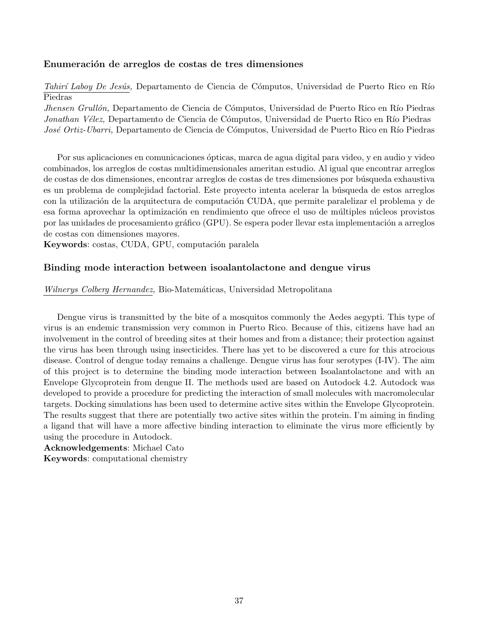#### Enumeración de arreglos de costas de tres dimensiones

Tahirí Laboy De Jesús, Departamento de Ciencia de Cómputos, Universidad de Puerto Rico en Río Piedras

Jhensen Grullón, Departamento de Ciencia de Cómputos, Universidad de Puerto Rico en Río Piedras Jonathan Vélez, Departamento de Ciencia de Cómputos, Universidad de Puerto Rico en Río Piedras José Ortiz-Ubarri, Departamento de Ciencia de Cómputos, Universidad de Puerto Rico en Río Piedras

Por sus aplicaciones en comunicaciones ópticas, marca de agua digital para video, y en audio y video combinados, los arreglos de costas multidimensionales ameritan estudio. Al igual que encontrar arreglos de costas de dos dimensiones, encontrar arreglos de costas de tres dimensiones por búsqueda exhaustiva es un problema de complejidad factorial. Este proyecto intenta acelerar la búsqueda de estos arreglos con la utilización de la arquitectura de computación CUDA, que permite paralelizar el problema y de esa forma aprovechar la optimización en rendimiento que ofrece el uso de múltiples núcleos provistos por las unidades de procesamiento gráfico (GPU). Se espera poder llevar esta implementación a arreglos de costas con dimensiones mayores.

Keywords: costas, CUDA, GPU, computación paralela

#### Binding mode interaction between isoalantolactone and dengue virus

Wilnerys Colberg Hernandez, Bio-Matemáticas, Universidad Metropolitana

Dengue virus is transmitted by the bite of a mosquitos commonly the Aedes aegypti. This type of virus is an endemic transmission very common in Puerto Rico. Because of this, citizens have had an involvement in the control of breeding sites at their homes and from a distance; their protection against the virus has been through using insecticides. There has yet to be discovered a cure for this atrocious disease. Control of dengue today remains a challenge. Dengue virus has four serotypes (I-IV). The aim of this project is to determine the binding mode interaction between Isoalantolactone and with an Envelope Glycoprotein from dengue II. The methods used are based on Autodock 4.2. Autodock was developed to provide a procedure for predicting the interaction of small molecules with macromolecular targets. Docking simulations has been used to determine active sites within the Envelope Glycoprotein. The results suggest that there are potentially two active sites within the protein. I'm aiming in finding a ligand that will have a more affective binding interaction to eliminate the virus more efficiently by using the procedure in Autodock.

Acknowledgements: Michael Cato

Keywords: computational chemistry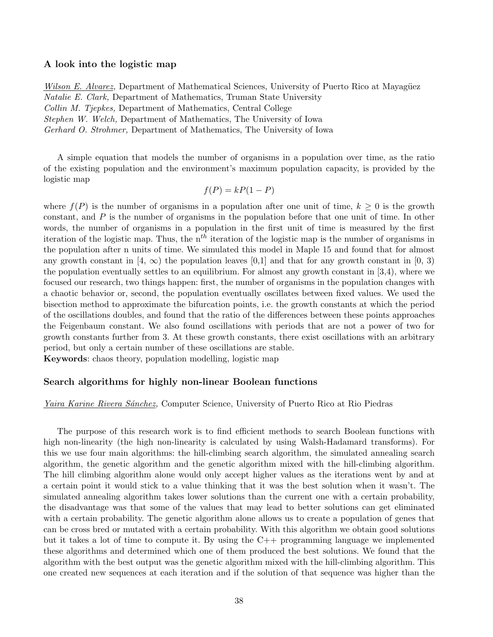#### A look into the logistic map

Wilson E. Alvarez, Department of Mathematical Sciences, University of Puerto Rico at Mayagüez Natalie E. Clark, Department of Mathematics, Truman State University Collin M. Tjepkes, Department of Mathematics, Central College Stephen W. Welch, Department of Mathematics, The University of Iowa Gerhard O. Strohmer, Department of Mathematics, The University of Iowa

A simple equation that models the number of organisms in a population over time, as the ratio of the existing population and the environment's maximum population capacity, is provided by the logistic map

$$
f(P) = kP(1 - P)
$$

where  $f(P)$  is the number of organisms in a population after one unit of time,  $k \geq 0$  is the growth constant, and  $P$  is the number of organisms in the population before that one unit of time. In other words, the number of organisms in a population in the first unit of time is measured by the first iteration of the logistic map. Thus, the  $n<sup>th</sup>$  iteration of the logistic map is the number of organisms in the population after n units of time. We simulated this model in Maple 15 and found that for almost any growth constant in [4,  $\infty$ ) the population leaves [0,1] and that for any growth constant in [0, 3) the population eventually settles to an equilibrium. For almost any growth constant in [3,4), where we focused our research, two things happen: first, the number of organisms in the population changes with a chaotic behavior or, second, the population eventually oscillates between fixed values. We used the bisection method to approximate the bifurcation points, i.e. the growth constants at which the period of the oscillations doubles, and found that the ratio of the differences between these points approaches the Feigenbaum constant. We also found oscillations with periods that are not a power of two for growth constants further from 3. At these growth constants, there exist oscillations with an arbitrary period, but only a certain number of these oscillations are stable.

Keywords: chaos theory, population modelling, logistic map

#### Search algorithms for highly non-linear Boolean functions

#### Yaira Karine Rivera Sánchez, Computer Science, University of Puerto Rico at Rio Piedras

The purpose of this research work is to find efficient methods to search Boolean functions with high non-linearity (the high non-linearity is calculated by using Walsh-Hadamard transforms). For this we use four main algorithms: the hill-climbing search algorithm, the simulated annealing search algorithm, the genetic algorithm and the genetic algorithm mixed with the hill-climbing algorithm. The hill climbing algorithm alone would only accept higher values as the iterations went by and at a certain point it would stick to a value thinking that it was the best solution when it wasn't. The simulated annealing algorithm takes lower solutions than the current one with a certain probability, the disadvantage was that some of the values that may lead to better solutions can get eliminated with a certain probability. The genetic algorithm alone allows us to create a population of genes that can be cross bred or mutated with a certain probability. With this algorithm we obtain good solutions but it takes a lot of time to compute it. By using the  $C++$  programming language we implemented these algorithms and determined which one of them produced the best solutions. We found that the algorithm with the best output was the genetic algorithm mixed with the hill-climbing algorithm. This one created new sequences at each iteration and if the solution of that sequence was higher than the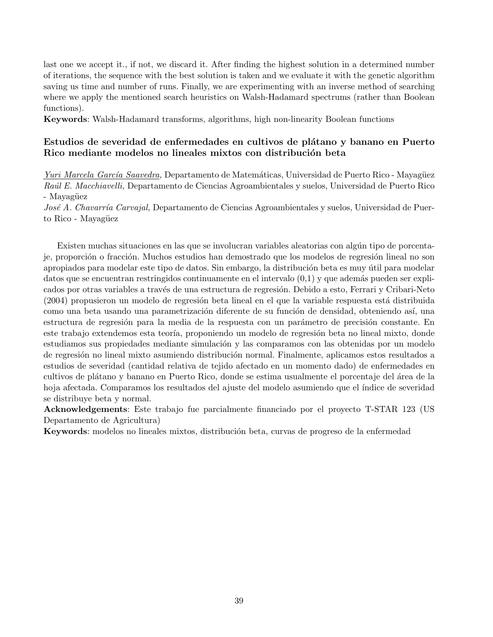last one we accept it., if not, we discard it. After finding the highest solution in a determined number of iterations, the sequence with the best solution is taken and we evaluate it with the genetic algorithm saving us time and number of runs. Finally, we are experimenting with an inverse method of searching where we apply the mentioned search heuristics on Walsh-Hadamard spectrums (rather than Boolean functions).

Keywords: Walsh-Hadamard transforms, algorithms, high non-linearity Boolean functions

## Estudios de severidad de enfermedades en cultivos de plátano y banano en Puerto Rico mediante modelos no lineales mixtos con distribución beta

Yuri Marcela García Saavedra, Departamento de Matemáticas, Universidad de Puerto Rico - Mayagüez Raúl E. Macchiavelli, Departamento de Ciencias Agroambientales y suelos, Universidad de Puerto Rico - Mayagüez

José A. Chavarría Carvajal, Departamento de Ciencias Agroambientales y suelos, Universidad de Puerto Rico - Mayagüez

Existen muchas situaciones en las que se involucran variables aleatorias con algún tipo de porcentaje, proporción o fracción. Muchos estudios han demostrado que los modelos de regresión lineal no son apropiados para modelar este tipo de datos. Sin embargo, la distribución beta es muy útil para modelar datos que se encuentran restringidos continuamente en el intervalo  $(0,1)$  y que además pueden ser explicados por otras variables a través de una estructura de regresión. Debido a esto, Ferrari y Cribari-Neto (2004) propusieron un modelo de regresión beta lineal en el que la variable respuesta está distribuida como una beta usando una parametrización diferente de su función de densidad, obteniendo así, una estructura de regresión para la media de la respuesta con un parámetro de precisión constante. En este trabajo extendemos esta teoría, proponiendo un modelo de regresión beta no lineal mixto, donde estudiamos sus propiedades mediante simulación y las comparamos con las obtenidas por un modelo de regresión no lineal mixto asumiendo distribución normal. Finalmente, aplicamos estos resultados a estudios de severidad (cantidad relativa de tejido afectado en un momento dado) de enfermedades en cultivos de plátano y banano en Puerto Rico, donde se estima usualmente el porcentaje del área de la hoja afectada. Comparamos los resultados del ajuste del modelo asumiendo que el índice de severidad se distribuye beta y normal.

Acknowledgements: Este trabajo fue parcialmente financiado por el proyecto T-STAR 123 (US Departamento de Agricultura)

Keywords: modelos no lineales mixtos, distribución beta, curvas de progreso de la enfermedad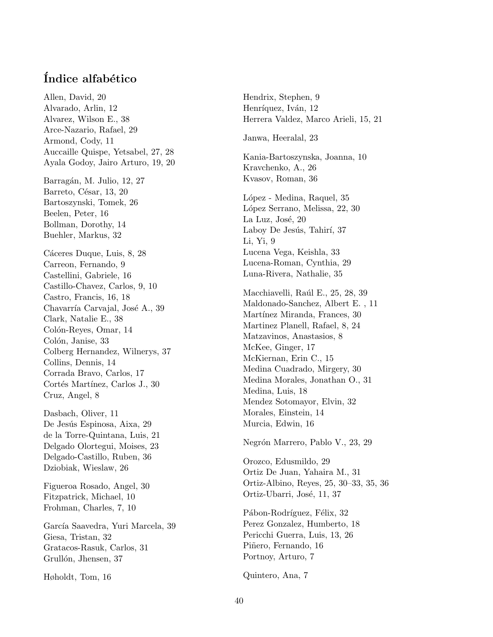# Índice alfabético

Allen, David, 20 Alvarado, Arlin, 12 Alvarez, Wilson E., 38 Arce-Nazario, Rafael, 29 Armond, Cody, 11 Auccaille Quispe, Yetsabel, 27, 28 Ayala Godoy, Jairo Arturo, 19, 20 Barragán, M. Julio, 12, 27 Barreto, César, 13, 20 Bartoszynski, Tomek, 26 Beelen, Peter, 16 Bollman, Dorothy, 14 Buehler, Markus, 32 Cáceres Duque, Luis, 8, 28 Carreon, Fernando, 9 Castellini, Gabriele, 16 Castillo-Chavez, Carlos, 9, 10 Castro, Francis, 16, 18 Chavarría Carvajal, José A., 39 Clark, Natalie E., 38 Colón-Reyes, Omar, 14 Colón, Janise, 33 Colberg Hernandez, Wilnerys, 37 Collins, Dennis, 14 Corrada Bravo, Carlos, 17 Cortés Martínez, Carlos J., 30 Cruz, Angel, 8 Dasbach, Oliver, 11 De Jesús Espinosa, Aixa, 29 de la Torre-Quintana, Luis, 21 Delgado Olortegui, Moises, 23 Delgado-Castillo, Ruben, 36 Dziobiak, Wieslaw, 26 Figueroa Rosado, Angel, 30 Fitzpatrick, Michael, 10 Frohman, Charles, 7, 10 García Saavedra, Yuri Marcela, 39 Giesa, Tristan, 32 Gratacos-Rasuk, Carlos, 31 Grullón, Jhensen, 37

Høholdt, Tom, 16

Hendrix, Stephen, 9 Henríquez, Iván, 12 Herrera Valdez, Marco Arieli, 15, 21 Janwa, Heeralal, 23 Kania-Bartoszynska, Joanna, 10 Kravchenko, A., 26 Kvasov, Roman, 36 López - Medina, Raquel, 35 López Serrano, Melissa, 22, 30 La Luz, José, 20 Laboy De Jesús, Tahirí, 37 Li, Yi, 9 Lucena Vega, Keishla, 33 Lucena-Roman, Cynthia, 29 Luna-Rivera, Nathalie, 35 Macchiavelli, Raúl E., 25, 28, 39 Maldonado-Sanchez, Albert E. , 11 Martínez Miranda, Frances, 30 Martinez Planell, Rafael, 8, 24 Matzavinos, Anastasios, 8 McKee, Ginger, 17 McKiernan, Erin C., 15 Medina Cuadrado, Mirgery, 30 Medina Morales, Jonathan O., 31 Medina, Luis, 18 Mendez Sotomayor, Elvin, 32 Morales, Einstein, 14 Murcia, Edwin, 16 Negrón Marrero, Pablo V., 23, 29 Orozco, Edusmildo, 29

Ortiz De Juan, Yahaira M., 31 Ortiz-Albino, Reyes, 25, 30–33, 35, 36 Ortiz-Ubarri, José, 11, 37

Pábon-Rodríguez, Félix, 32 Perez Gonzalez, Humberto, 18 Pericchi Guerra, Luis, 13, 26 Piñero, Fernando, 16 Portnoy, Arturo, 7

Quintero, Ana, 7